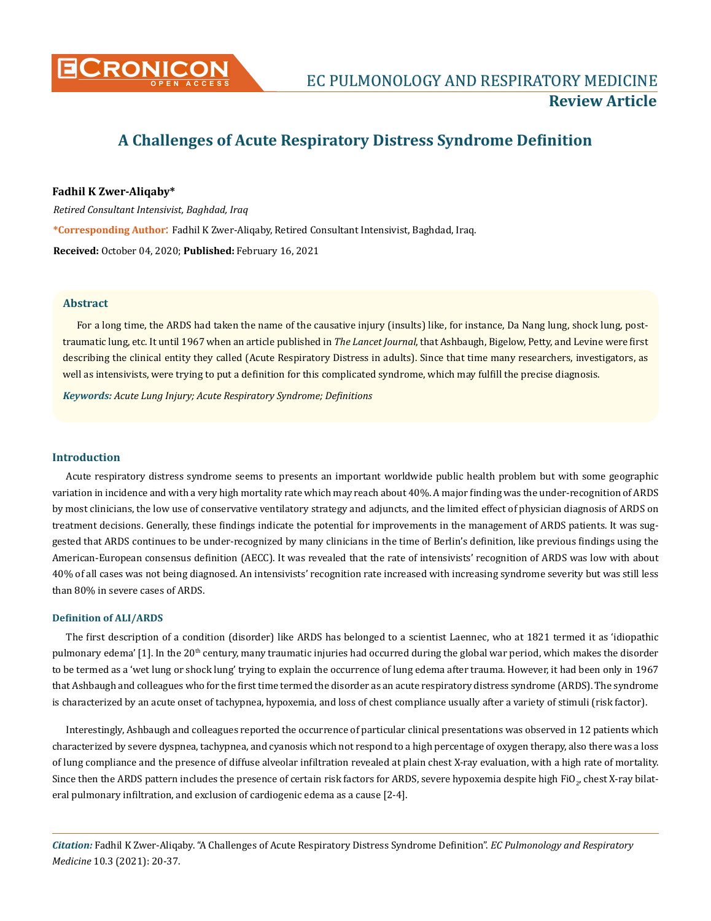

# **A Challenges of Acute Respiratory Distress Syndrome Definition**

## **Fadhil K Zwer-Aliqaby\***

*Retired Consultant Intensivist, Baghdad, Iraq* **\*Corresponding Author**: Fadhil K Zwer-Aliqaby, Retired Consultant Intensivist, Baghdad, Iraq. **Received:** October 04, 2020; **Published:** February 16, 2021

#### **Abstract**

For a long time, the ARDS had taken the name of the causative injury (insults) like, for instance, Da Nang lung, shock lung, posttraumatic lung, etc. It until 1967 when an article published in *The Lancet Journal*, that Ashbaugh, Bigelow, Petty, and Levine were first describing the clinical entity they called (Acute Respiratory Distress in adults). Since that time many researchers, investigators, as well as intensivists, were trying to put a definition for this complicated syndrome, which may fulfill the precise diagnosis.

*Keywords: Acute Lung Injury; Acute Respiratory Syndrome; Definitions*

#### **Introduction**

Acute respiratory distress syndrome seems to presents an important worldwide public health problem but with some geographic variation in incidence and with a very high mortality rate which may reach about 40%. A major finding was the under-recognition of ARDS by most clinicians, the low use of conservative ventilatory strategy and adjuncts, and the limited effect of physician diagnosis of ARDS on treatment decisions. Generally, these findings indicate the potential for improvements in the management of ARDS patients. It was suggested that ARDS continues to be under-recognized by many clinicians in the time of Berlin's definition, like previous findings using the American-European consensus definition (AECC). It was revealed that the rate of intensivists' recognition of ARDS was low with about 40% of all cases was not being diagnosed. An intensivists' recognition rate increased with increasing syndrome severity but was still less than 80% in severe cases of ARDS.

#### **Definition of ALI/ARDS**

The first description of a condition (disorder) like ARDS has belonged to a scientist Laennec, who at 1821 termed it as 'idiopathic pulmonary edema' [1]. In the 20<sup>th</sup> century, many traumatic injuries had occurred during the global war period, which makes the disorder to be termed as a 'wet lung or shock lung' trying to explain the occurrence of lung edema after trauma. However, it had been only in 1967 that Ashbaugh and colleagues who for the first time termed the disorder as an acute respiratory distress syndrome (ARDS). The syndrome is characterized by an acute onset of tachypnea, hypoxemia, and loss of chest compliance usually after a variety of stimuli (risk factor).

Interestingly, Ashbaugh and colleagues reported the occurrence of particular clinical presentations was observed in 12 patients which characterized by severe dyspnea, tachypnea, and cyanosis which not respond to a high percentage of oxygen therapy, also there was a loss of lung compliance and the presence of diffuse alveolar infiltration revealed at plain chest X-ray evaluation, with a high rate of mortality. Since then the ARDS pattern includes the presence of certain risk factors for ARDS, severe hypoxemia despite high FiO<sub>2</sub>, chest X-ray bilateral pulmonary infiltration, and exclusion of cardiogenic edema as a cause [2-4].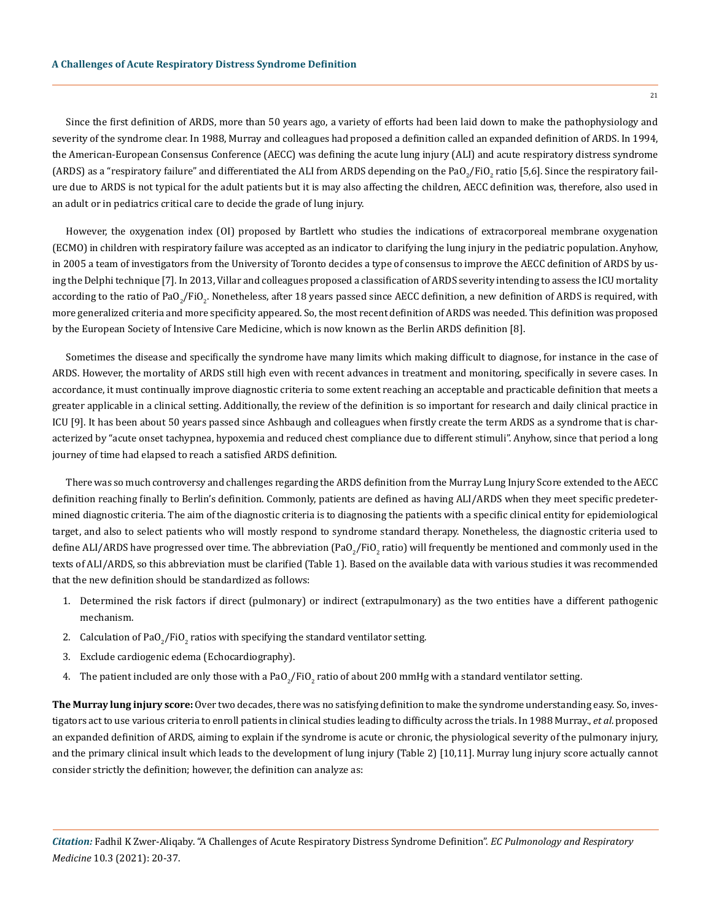Since the first definition of ARDS, more than 50 years ago, a variety of efforts had been laid down to make the pathophysiology and severity of the syndrome clear. In 1988, Murray and colleagues had proposed a definition called an expanded definition of ARDS. In 1994, the American-European Consensus Conference (AECC) was defining the acute lung injury (ALI) and acute respiratory distress syndrome

(ARDS) as a "respiratory failure" and differentiated the ALI from ARDS depending on the PaO<sub>2</sub>/FiO<sub>2</sub> ratio [5,6]. Since the respiratory failure due to ARDS is not typical for the adult patients but it is may also affecting the children, AECC definition was, therefore, also used in an adult or in pediatrics critical care to decide the grade of lung injury.

However, the oxygenation index (OI) proposed by Bartlett who studies the indications of extracorporeal membrane oxygenation (ECMO) in children with respiratory failure was accepted as an indicator to clarifying the lung injury in the pediatric population. Anyhow, in 2005 a team of investigators from the University of Toronto decides a type of consensus to improve the AECC definition of ARDS by using the Delphi technique [7]. In 2013, Villar and colleagues proposed a classification of ARDS severity intending to assess the ICU mortality according to the ratio of PaO<sub>2</sub>/FiO<sub>2</sub>. Nonetheless, after 18 years passed since AECC definition, a new definition of ARDS is required, with more generalized criteria and more specificity appeared. So, the most recent definition of ARDS was needed. This definition was proposed by the European Society of Intensive Care Medicine, which is now known as the Berlin ARDS definition [8].

Sometimes the disease and specifically the syndrome have many limits which making difficult to diagnose, for instance in the case of ARDS. However, the mortality of ARDS still high even with recent advances in treatment and monitoring, specifically in severe cases. In accordance, it must continually improve diagnostic criteria to some extent reaching an acceptable and practicable definition that meets a greater applicable in a clinical setting. Additionally, the review of the definition is so important for research and daily clinical practice in ICU [9]. It has been about 50 years passed since Ashbaugh and colleagues when firstly create the term ARDS as a syndrome that is characterized by "acute onset tachypnea, hypoxemia and reduced chest compliance due to different stimuli". Anyhow, since that period a long journey of time had elapsed to reach a satisfied ARDS definition.

There was so much controversy and challenges regarding the ARDS definition from the Murray Lung Injury Score extended to the AECC definition reaching finally to Berlin's definition. Commonly, patients are defined as having ALI/ARDS when they meet specific predetermined diagnostic criteria. The aim of the diagnostic criteria is to diagnosing the patients with a specific clinical entity for epidemiological target, and also to select patients who will mostly respond to syndrome standard therapy. Nonetheless, the diagnostic criteria used to define ALI/ARDS have progressed over time. The abbreviation (PaO $_2$ /FiO $_2$  ratio) will frequently be mentioned and commonly used in the texts of ALI/ARDS, so this abbreviation must be clarified (Table 1). Based on the available data with various studies it was recommended that the new definition should be standardized as follows:

- 1. Determined the risk factors if direct (pulmonary) or indirect (extrapulmonary) as the two entities have a different pathogenic mechanism.
- 2. Calculation of PaO<sub>2</sub>/FiO<sub>2</sub> ratios with specifying the standard ventilator setting.
- 3. Exclude cardiogenic edema (Echocardiography).
- 4. The patient included are only those with a PaO $_2$ /FiO $_2$  ratio of about 200 mmHg with a standard ventilator setting.

**The Murray lung injury score:** Over two decades, there was no satisfying definition to make the syndrome understanding easy. So, investigators act to use various criteria to enroll patients in clinical studies leading to difficulty across the trials. In 1988 Murray., *et al*. proposed an expanded definition of ARDS, aiming to explain if the syndrome is acute or chronic, the physiological severity of the pulmonary injury, and the primary clinical insult which leads to the development of lung injury (Table 2) [10,11]. Murray lung injury score actually cannot consider strictly the definition; however, the definition can analyze as:

21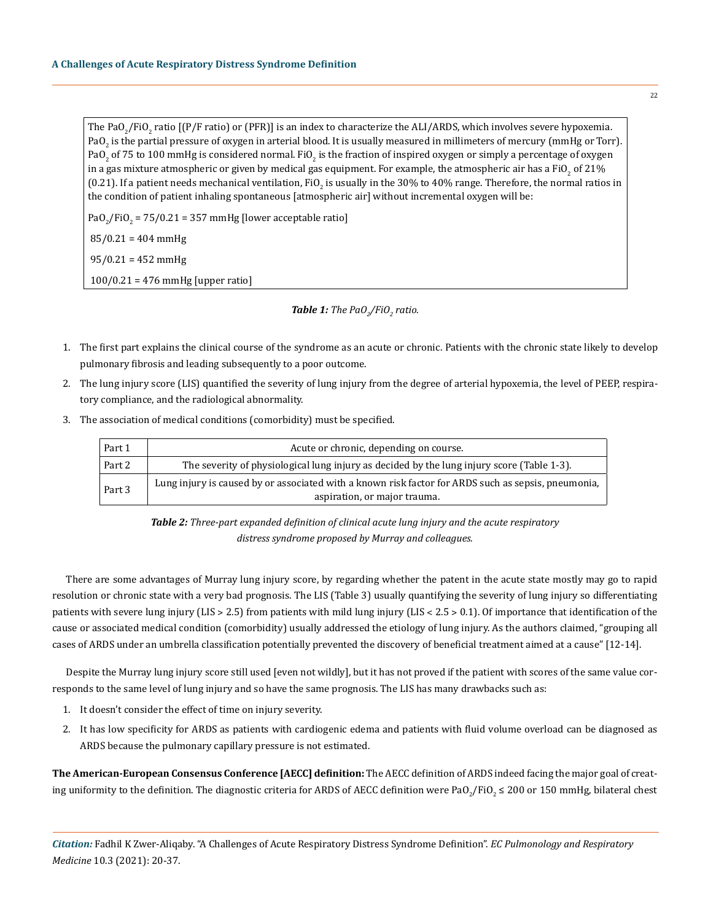The PaO<sub>2</sub>/FiO<sub>2</sub> ratio [(P/F ratio) or (PFR)] is an index to characterize the ALI/ARDS, which involves severe hypoxemia. PaO $_2$  is the partial pressure of oxygen in arterial blood. It is usually measured in millimeters of mercury (mmHg or Torr). PaO<sub>2</sub> of 75 to 100 mmHg is considered normal. FiO<sub>2</sub> is the fraction of inspired oxygen or simply a percentage of oxygen in a gas mixture atmospheric or given by medical gas equipment. For example, the atmospheric air has a FiO<sub>2</sub> of 21% (0.21). If a patient needs mechanical ventilation, FiO<sub>2</sub> is usually in the 30% to 40% range. Therefore, the normal ratios in the condition of patient inhaling spontaneous [atmospheric air] without incremental oxygen will be:

 $PaO_2/FiO_2 = 75/0.21 = 357$  mmHg [lower acceptable ratio]

 $85/0.21 = 404$  mmHg

 $95/0.21 = 452$  mmHg

100/0.21 = 476 mmHg [upper ratio]

## *Table 1: The PaO2 /FiO2 ratio.*

- 1. The first part explains the clinical course of the syndrome as an acute or chronic. Patients with the chronic state likely to develop pulmonary fibrosis and leading subsequently to a poor outcome.
- 2. The lung injury score (LIS) quantified the severity of lung injury from the degree of arterial hypoxemia, the level of PEEP, respiratory compliance, and the radiological abnormality.
- 3. The association of medical conditions (comorbidity) must be specified.

| Part 1 | Acute or chronic, depending on course.                                                              |  |  |  |
|--------|-----------------------------------------------------------------------------------------------------|--|--|--|
| Part 2 | The severity of physiological lung injury as decided by the lung injury score (Table 1-3).          |  |  |  |
| Part 3 | Lung injury is caused by or associated with a known risk factor for ARDS such as sepsis, pneumonia, |  |  |  |
|        | aspiration, or major trauma.                                                                        |  |  |  |

*Table 2: Three-part expanded definition of clinical acute lung injury and the acute respiratory distress syndrome proposed by Murray and colleagues.*

There are some advantages of Murray lung injury score, by regarding whether the patent in the acute state mostly may go to rapid resolution or chronic state with a very bad prognosis. The LIS (Table 3) usually quantifying the severity of lung injury so differentiating patients with severe lung injury (LIS > 2.5) from patients with mild lung injury (LIS < 2.5 > 0.1). Of importance that identification of the cause or associated medical condition (comorbidity) usually addressed the etiology of lung injury. As the authors claimed, "grouping all cases of ARDS under an umbrella classification potentially prevented the discovery of beneficial treatment aimed at a cause" [12-14].

Despite the Murray lung injury score still used [even not wildly], but it has not proved if the patient with scores of the same value corresponds to the same level of lung injury and so have the same prognosis. The LIS has many drawbacks such as:

- 1. It doesn't consider the effect of time on injury severity.
- 2. It has low specificity for ARDS as patients with cardiogenic edema and patients with fluid volume overload can be diagnosed as ARDS because the pulmonary capillary pressure is not estimated.

**The American-European Consensus Conference [AECC] definition:** The AECC definition of ARDS indeed facing the major goal of creating uniformity to the definition. The diagnostic criteria for ARDS of AECC definition were PaO<sub>2</sub>/FiO<sub>2</sub> ≤ 200 or 150 mmHg, bilateral chest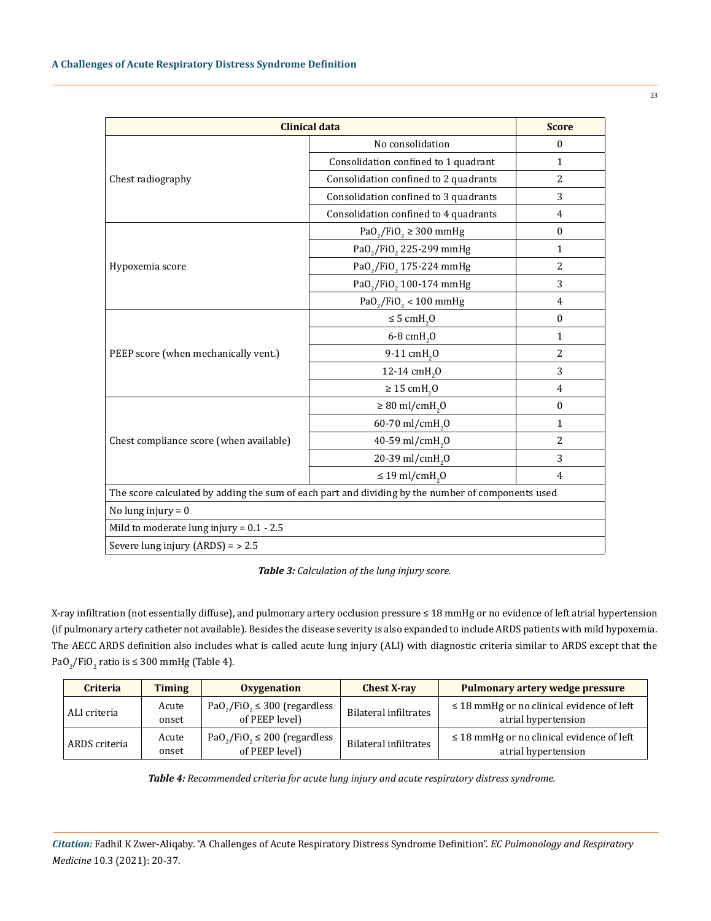| <b>Clinical data</b>                                                                              | <b>Score</b>                                       |                |  |  |
|---------------------------------------------------------------------------------------------------|----------------------------------------------------|----------------|--|--|
|                                                                                                   | No consolidation                                   | $\Omega$       |  |  |
|                                                                                                   | Consolidation confined to 1 quadrant               | $\mathbf{1}$   |  |  |
| Chest radiography                                                                                 | Consolidation confined to 2 quadrants              | $\overline{2}$ |  |  |
|                                                                                                   | Consolidation confined to 3 quadrants              | 3              |  |  |
|                                                                                                   | Consolidation confined to 4 quadrants              | $\overline{4}$ |  |  |
|                                                                                                   | PaO <sub>2</sub> /FiO <sub>2</sub> $\geq$ 300 mmHg | $\mathbf{0}$   |  |  |
|                                                                                                   | PaO <sub>2</sub> /FiO <sub>2</sub> 225-299 mmHg    | $\mathbf{1}$   |  |  |
| Hypoxemia score                                                                                   | PaO <sub>2</sub> /FiO <sub>2</sub> 175-224 mmHg    | 2              |  |  |
|                                                                                                   | PaO <sub>2</sub> /FiO <sub>2</sub> 100-174 mmHg    | 3              |  |  |
|                                                                                                   | $PaO_2/FiO_2 < 100$ mmHg                           | 4              |  |  |
|                                                                                                   | $\leq$ 5 cmH <sub>2</sub> O                        | $\mathbf{0}$   |  |  |
|                                                                                                   | 6-8 cmH <sub>2</sub> 0                             | $\mathbf{1}$   |  |  |
| PEEP score (when mechanically vent.)                                                              | 9-11 cmH <sub>2</sub> 0                            | $\overline{2}$ |  |  |
|                                                                                                   | 12-14 cmH <sub>2</sub> 0                           | 3              |  |  |
|                                                                                                   | $\geq 15$ cmH <sub>2</sub> O                       | 4              |  |  |
|                                                                                                   | $\geq 80$ ml/cmH <sub>2</sub> O                    | $\mathbf{0}$   |  |  |
|                                                                                                   | 60-70 ml/cmH <sub>2</sub> 0                        | $\mathbf{1}$   |  |  |
| Chest compliance score (when available)                                                           | 40-59 ml/cmH <sub>2</sub> 0                        | $\overline{2}$ |  |  |
|                                                                                                   | 20-39 ml/cmH <sub>2</sub> 0                        | 3              |  |  |
|                                                                                                   | $\leq$ 19 ml/cmH <sub>2</sub> 0                    | $\overline{4}$ |  |  |
| The score calculated by adding the sum of each part and dividing by the number of components used |                                                    |                |  |  |
| No lung injury = $0$                                                                              |                                                    |                |  |  |
| Mild to moderate lung injury = $0.1 - 2.5$                                                        |                                                    |                |  |  |
| Severe lung injury $(ARDS) = 2.5$                                                                 |                                                    |                |  |  |

*Table 3: Calculation of the lung injury score.*

X-ray infiltration (not essentially diffuse), and pulmonary artery occlusion pressure ≤ 18 mmHg or no evidence of left atrial hypertension (if pulmonary artery catheter not available). Besides the disease severity is also expanded to include ARDS patients with mild hypoxemia. The AECC ARDS definition also includes what is called acute lung injury (ALI) with diagnostic criteria similar to ARDS except that the  $PaO_2/FiO_2$  ratio is  $\leq 300$  mmHg (Table 4).

| <b>Criteria</b> | <b>Timing</b>  | Oxygenation                                                                 | <b>Chest X-ray</b>    | Pulmonary artery wedge pressure                                       |
|-----------------|----------------|-----------------------------------------------------------------------------|-----------------------|-----------------------------------------------------------------------|
| ALI criteria    | Acute<br>onset | $PaO_2/FiO_2 \leq 300$ (regardless<br>of PEEP level)                        | Bilateral infiltrates | $\leq$ 18 mmHg or no clinical evidence of left<br>atrial hypertension |
| ARDS criteria   | Acute<br>onset | PaO <sub>2</sub> /FiO <sub>2</sub> $\leq$ 200 (regardless<br>of PEEP level) | Bilateral infiltrates | $\leq$ 18 mmHg or no clinical evidence of left<br>atrial hypertension |

*Table 4: Recommended criteria for acute lung injury and acute respiratory distress syndrome.*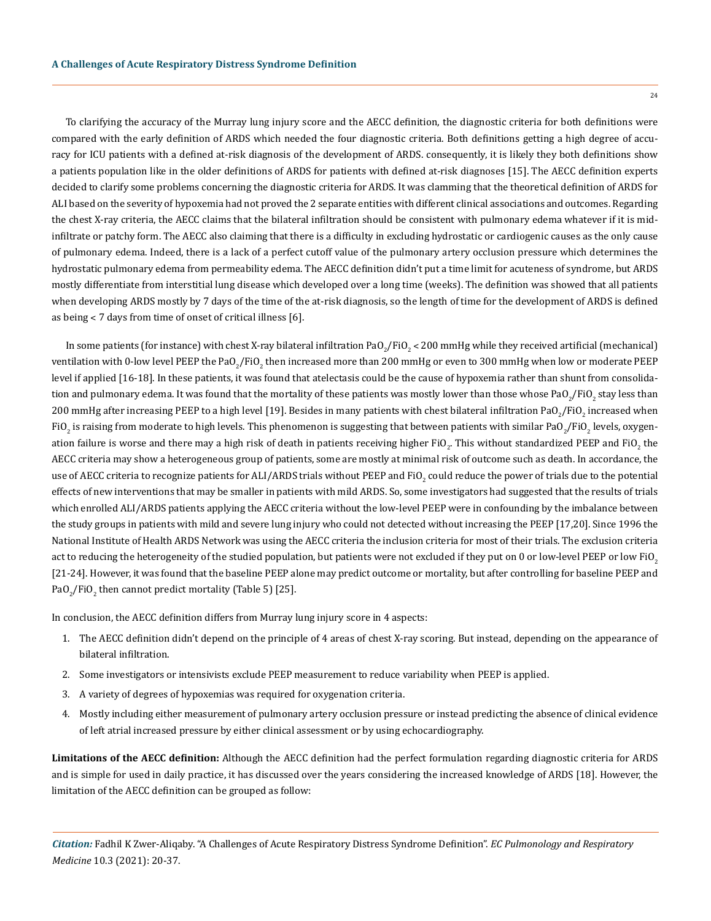To clarifying the accuracy of the Murray lung injury score and the AECC definition, the diagnostic criteria for both definitions were compared with the early definition of ARDS which needed the four diagnostic criteria. Both definitions getting a high degree of accuracy for ICU patients with a defined at-risk diagnosis of the development of ARDS. consequently, it is likely they both definitions show a patients population like in the older definitions of ARDS for patients with defined at-risk diagnoses [15]. The AECC definition experts decided to clarify some problems concerning the diagnostic criteria for ARDS. It was clamming that the theoretical definition of ARDS for ALI based on the severity of hypoxemia had not proved the 2 separate entities with different clinical associations and outcomes. Regarding the chest X-ray criteria, the AECC claims that the bilateral infiltration should be consistent with pulmonary edema whatever if it is midinfiltrate or patchy form. The AECC also claiming that there is a difficulty in excluding hydrostatic or cardiogenic causes as the only cause of pulmonary edema. Indeed, there is a lack of a perfect cutoff value of the pulmonary artery occlusion pressure which determines the hydrostatic pulmonary edema from permeability edema. The AECC definition didn't put a time limit for acuteness of syndrome, but ARDS mostly differentiate from interstitial lung disease which developed over a long time (weeks). The definition was showed that all patients when developing ARDS mostly by 7 days of the time of the at-risk diagnosis, so the length of time for the development of ARDS is defined as being < 7 days from time of onset of critical illness [6].

In some patients (for instance) with chest X-ray bilateral infiltration PaO<sub>2</sub>/FiO<sub>2</sub> < 200 mmHg while they received artificial (mechanical) ventilation with 0-low level PEEP the PaO $_2$ /FiO $_2$  then increased more than 200 mmHg or even to 300 mmHg when low or moderate PEEP  $\,$ level if applied [16-18]. In these patients, it was found that atelectasis could be the cause of hypoxemia rather than shunt from consolidation and pulmonary edema. It was found that the mortality of these patients was mostly lower than those whose PaO $_2$ /FiO $_2$  stay less than 200 mmHg after increasing PEEP to a high level [19]. Besides in many patients with chest bilateral infiltration PaO $_2$ /FiO $_2$  increased when FiO<sub>2</sub> is raising from moderate to high levels. This phenomenon is suggesting that between patients with similar PaO<sub>2</sub>/FiO<sub>2</sub> levels, oxygenation failure is worse and there may a high risk of death in patients receiving higher FiO<sub>2</sub>. This without standardized PEEP and FiO<sub>2</sub> the AECC criteria may show a heterogeneous group of patients, some are mostly at minimal risk of outcome such as death. In accordance, the use of AECC criteria to recognize patients for ALI/ARDS trials without PEEP and FiO<sub>2</sub> could reduce the power of trials due to the potential effects of new interventions that may be smaller in patients with mild ARDS. So, some investigators had suggested that the results of trials which enrolled ALI/ARDS patients applying the AECC criteria without the low-level PEEP were in confounding by the imbalance between the study groups in patients with mild and severe lung injury who could not detected without increasing the PEEP [17,20]. Since 1996 the National Institute of Health ARDS Network was using the AECC criteria the inclusion criteria for most of their trials. The exclusion criteria act to reducing the heterogeneity of the studied population, but patients were not excluded if they put on 0 or low-level PEEP or low FiO. [21-24]. However, it was found that the baseline PEEP alone may predict outcome or mortality, but after controlling for baseline PEEP and  $PaO_2/FiO_2$  then cannot predict mortality (Table 5) [25].

In conclusion, the AECC definition differs from Murray lung injury score in 4 aspects:

- 1. The AECC definition didn't depend on the principle of 4 areas of chest X-ray scoring. But instead, depending on the appearance of bilateral infiltration.
- 2. Some investigators or intensivists exclude PEEP measurement to reduce variability when PEEP is applied.
- 3. A variety of degrees of hypoxemias was required for oxygenation criteria.
- 4. Mostly including either measurement of pulmonary artery occlusion pressure or instead predicting the absence of clinical evidence of left atrial increased pressure by either clinical assessment or by using echocardiography.

**Limitations of the AECC definition:** Although the AECC definition had the perfect formulation regarding diagnostic criteria for ARDS and is simple for used in daily practice, it has discussed over the years considering the increased knowledge of ARDS [18]. However, the limitation of the AECC definition can be grouped as follow: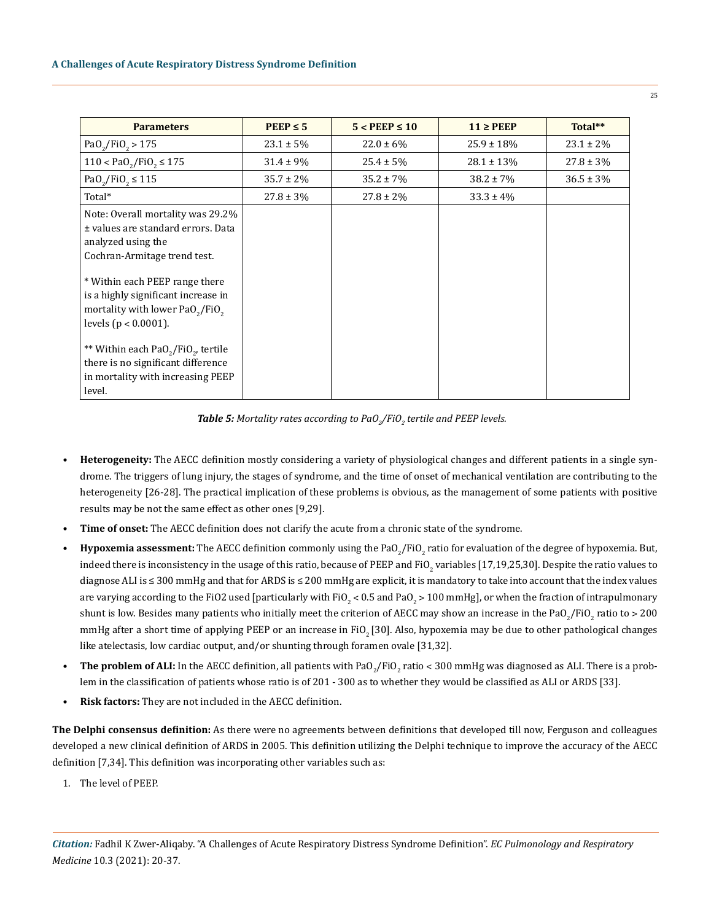| <b>Parameters</b>                                                                                                                                                                                                                                                                             | $PEEP \leq 5$  | $5 <$ PEEP $\leq 10$ | $11 \geq PEEP$  | Total**        |
|-----------------------------------------------------------------------------------------------------------------------------------------------------------------------------------------------------------------------------------------------------------------------------------------------|----------------|----------------------|-----------------|----------------|
| $PaO_2/FiO_2 > 175$                                                                                                                                                                                                                                                                           | $23.1 \pm 5\%$ | $22.0 \pm 6\%$       | $25.9 \pm 18\%$ | $23.1 \pm 2\%$ |
| $110 < PaO_2/FiO_2 \le 175$                                                                                                                                                                                                                                                                   | $31.4 \pm 9\%$ | $25.4 \pm 5\%$       | $28.1 \pm 13\%$ | $27.8 \pm 3\%$ |
| Pa0 <sub>2</sub> /Fi0 <sub>2</sub> ≤ 115                                                                                                                                                                                                                                                      | $35.7 \pm 2\%$ | $35.2 \pm 7\%$       | $38.2 \pm 7\%$  | $36.5 \pm 3\%$ |
| Total*                                                                                                                                                                                                                                                                                        | $27.8 \pm 3\%$ | $27.8 \pm 2\%$       | $33.3 \pm 4\%$  |                |
| Note: Overall mortality was 29.2%<br>± values are standard errors. Data<br>analyzed using the<br>Cochran-Armitage trend test.<br>* Within each PEEP range there<br>is a highly significant increase in<br>mortality with lower PaO <sub>2</sub> /FiO <sub>2</sub><br>levels ( $p < 0.0001$ ). |                |                      |                 |                |
| ** Within each PaO <sub>2</sub> /FiO <sub>2</sub> , tertile<br>there is no significant difference<br>in mortality with increasing PEEP<br>level.                                                                                                                                              |                |                      |                 |                |

 $\bm{\text{Table 5:}}$  Mortality rates according to PaO<sub>2</sub>/FiO<sub>2</sub> tertile and PEEP levels.

- **• Heterogeneity:** The AECC definition mostly considering a variety of physiological changes and different patients in a single syndrome. The triggers of lung injury, the stages of syndrome, and the time of onset of mechanical ventilation are contributing to the heterogeneity [26-28]. The practical implication of these problems is obvious, as the management of some patients with positive results may be not the same effect as other ones [9,29].
- **• Time of onset:** The AECC definition does not clarify the acute from a chronic state of the syndrome.
- **Hypoxemia assessment:** The AECC definition commonly using the PaO<sub>2</sub>/FiO<sub>2</sub> ratio for evaluation of the degree of hypoxemia. But, indeed there is inconsistency in the usage of this ratio, because of PEEP and FiO<sub>2</sub> variables [17,19,25,30]. Despite the ratio values to diagnose ALI is ≤ 300 mmHg and that for ARDS is ≤ 200 mmHg are explicit, it is mandatory to take into account that the index values are varying according to the FiO2 used [particularly with FiO $_2$  < 0.5 and PaO $_2$  > 100 mmHg], or when the fraction of intrapulmonary shunt is low. Besides many patients who initially meet the criterion of AECC may show an increase in the PaO<sub>2</sub>/FiO<sub>2</sub> ratio to > 200 mmHg after a short time of applying PEEP or an increase in FiO<sub>2</sub> [30]. Also, hypoxemia may be due to other pathological changes like atelectasis, low cardiac output, and/or shunting through foramen ovale [31,32].
- The problem of ALI: In the AECC definition, all patients with PaO<sub>2</sub>/FiO<sub>2</sub> ratio < 300 mmHg was diagnosed as ALI. There is a problem in the classification of patients whose ratio is of 201 - 300 as to whether they would be classified as ALI or ARDS [33].
- **• Risk factors:** They are not included in the AECC definition.

**The Delphi consensus definition:** As there were no agreements between definitions that developed till now, Ferguson and colleagues developed a new clinical definition of ARDS in 2005. This definition utilizing the Delphi technique to improve the accuracy of the AECC definition [7,34]. This definition was incorporating other variables such as:

1. The level of PEEP.

 $25$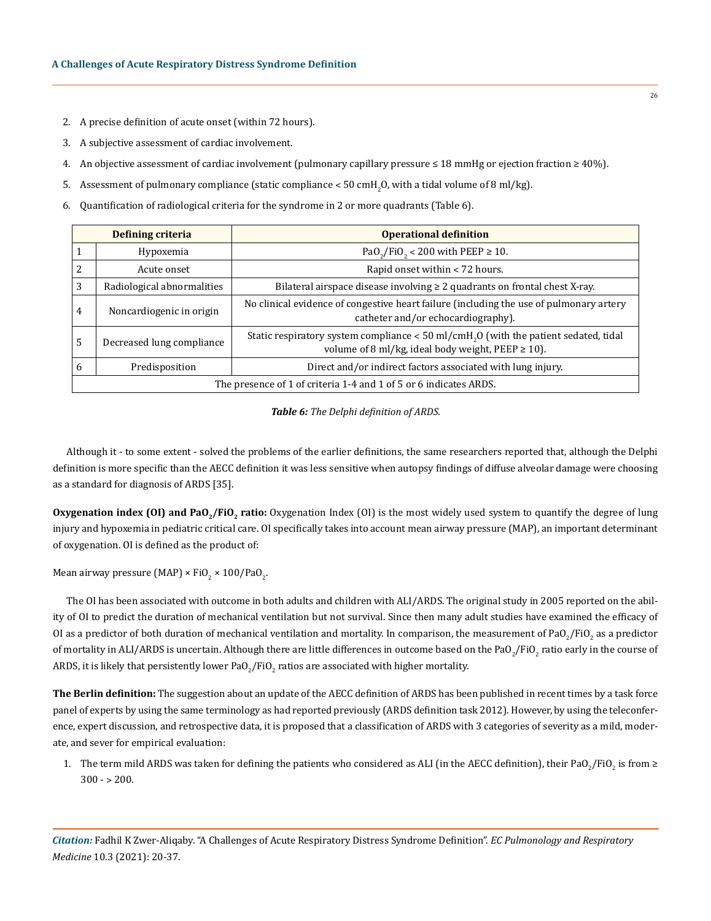- 2. A precise definition of acute onset (within 72 hours).
- 3. A subjective assessment of cardiac involvement.
- 4. An objective assessment of cardiac involvement (pulmonary capillary pressure ≤ 18 mmHg or ejection fraction ≥ 40%).
- 5.  $\,$  Assessment of pulmonary compliance (static compliance  $<$  50 cmH $_{2}$ O, with a tidal volume of 8 ml/kg).
- 6. Quantification of radiological criteria for the syndrome in 2 or more quadrants (Table 6).

| <b>Defining criteria</b>                                          |                            | <b>Operational definition</b>                                                                                                                                |  |
|-------------------------------------------------------------------|----------------------------|--------------------------------------------------------------------------------------------------------------------------------------------------------------|--|
|                                                                   | Hypoxemia                  | PaO <sub>2</sub> /FiO <sub>2</sub> < 200 with PEEP $\geq$ 10.                                                                                                |  |
| 2                                                                 | Acute onset                | Rapid onset within < 72 hours.                                                                                                                               |  |
| 3                                                                 | Radiological abnormalities | Bilateral airspace disease involving $\geq 2$ quadrants on frontal chest X-ray.                                                                              |  |
| $\overline{4}$                                                    | Noncardiogenic in origin   | No clinical evidence of congestive heart failure (including the use of pulmonary artery<br>catheter and/or echocardiography).                                |  |
| 5                                                                 | Decreased lung compliance  | Static respiratory system compliance $<$ 50 ml/cmH <sub>2</sub> O (with the patient sedated, tidal<br>volume of 8 ml/kg, ideal body weight, PEEP $\geq$ 10). |  |
| 6                                                                 | Predisposition             | Direct and/or indirect factors associated with lung injury.                                                                                                  |  |
| The presence of 1 of criteria 1-4 and 1 of 5 or 6 indicates ARDS. |                            |                                                                                                                                                              |  |

## *Table 6: The Delphi definition of ARDS.*

Although it - to some extent - solved the problems of the earlier definitions, the same researchers reported that, although the Delphi definition is more specific than the AECC definition it was less sensitive when autopsy findings of diffuse alveolar damage were choosing as a standard for diagnosis of ARDS [35].

Oxygenation index (OI) and PaO<sub>2</sub>/FiO<sub>2</sub> ratio: Oxygenation Index (OI) is the most widely used system to quantify the degree of lung injury and hypoxemia in pediatric critical care. OI specifically takes into account mean airway pressure (MAP), an important determinant of oxygenation. OI is defined as the product of:

Mean airway pressure (MAP) × FiO<sub>2</sub> × 100/PaO<sub>2</sub>.

The OI has been associated with outcome in both adults and children with ALI/ARDS. The original study in 2005 reported on the ability of OI to predict the duration of mechanical ventilation but not survival. Since then many adult studies have examined the efficacy of OI as a predictor of both duration of mechanical ventilation and mortality. In comparison, the measurement of PaO<sub>2</sub>/FiO<sub>2</sub> as a predictor of mortality in ALI/ARDS is uncertain. Although there are little differences in outcome based on the PaO $_2$ /FiO $_2$  ratio early in the course of ARDS, it is likely that persistently lower PaO $_2$ /FiO $_2$  ratios are associated with higher mortality.

**The Berlin definition:** The suggestion about an update of the AECC definition of ARDS has been published in recent times by a task force panel of experts by using the same terminology as had reported previously (ARDS definition task 2012). However, by using the teleconference, expert discussion, and retrospective data, it is proposed that a classification of ARDS with 3 categories of severity as a mild, moderate, and sever for empirical evaluation:

1. The term mild ARDS was taken for defining the patients who considered as ALI (in the AECC definition), their PaO<sub>2</sub>/FiO<sub>2</sub> is from ≥  $300 - 200$ .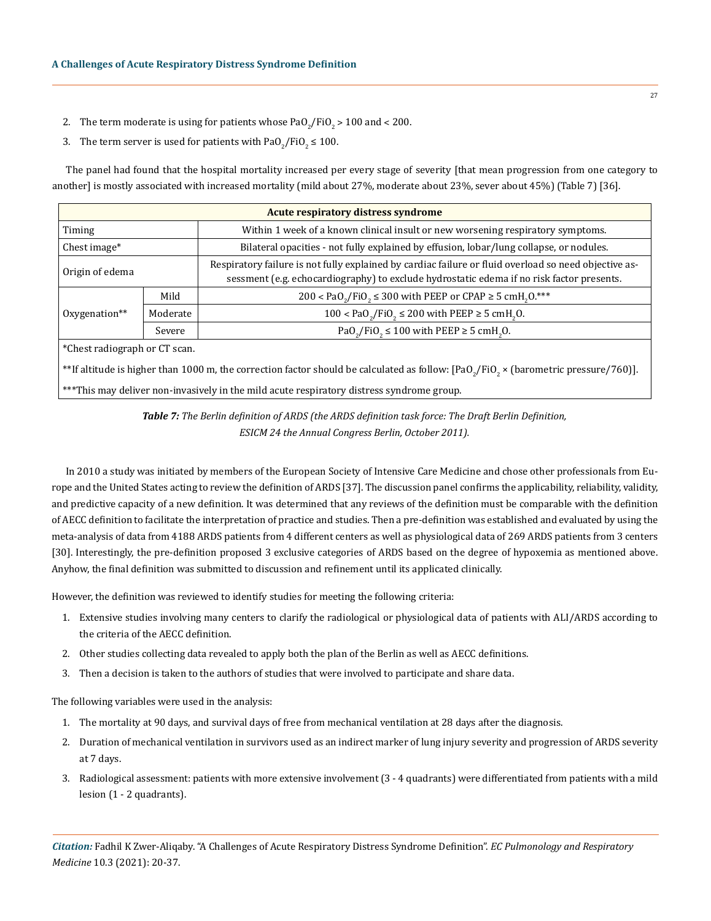- 2. The term moderate is using for patients whose  ${\rm PaO}_2/{\rm FiO}_2$  >  $100$  and < 200.
- 3. The term server is used for patients with  $\mathrm{PaO}_2/\mathrm{FiO}_2 \leq 100.$

The panel had found that the hospital mortality increased per every stage of severity [that mean progression from one category to another] is mostly associated with increased mortality (mild about 27%, moderate about 23%, sever about 45%) (Table 7) [36].

| <b>Acute respiratory distress syndrome</b> |          |                                                                                                                                                                                                    |  |  |
|--------------------------------------------|----------|----------------------------------------------------------------------------------------------------------------------------------------------------------------------------------------------------|--|--|
| Timing                                     |          | Within 1 week of a known clinical insult or new worsening respiratory symptoms.                                                                                                                    |  |  |
| Chest image*                               |          | Bilateral opacities - not fully explained by effusion, lobar/lung collapse, or nodules.                                                                                                            |  |  |
| Origin of edema                            |          | Respiratory failure is not fully explained by cardiac failure or fluid overload so need objective as-<br>sessment (e.g. echocardiography) to exclude hydrostatic edema if no risk factor presents. |  |  |
|                                            | Mild     | 200 < PaO <sub>2</sub> /FiO <sub>2</sub> ≤ 300 with PEEP or CPAP ≥ 5 cmH <sub>2</sub> O.***                                                                                                        |  |  |
| $Oxvgenation**$                            | Moderate | $100 <$ PaO <sub>2</sub> /FiO <sub>2</sub> ≤ 200 with PEEP ≥ 5 cmH <sub>2</sub> O.                                                                                                                 |  |  |
|                                            | Severe   | PaO <sub>2</sub> /FiO <sub>2</sub> $\leq$ 100 with PEEP $\geq$ 5 cmH <sub>2</sub> O.                                                                                                               |  |  |
| $\sim$                                     |          |                                                                                                                                                                                                    |  |  |

\*Chest radiograph or CT scan.

 $^{\ast\ast}$ If altitude is higher than 1000 m, the correction factor should be calculated as follow: [PaO $_2$ /FiO $_2$  × (barometric pressure/760)].

\*\*\*This may deliver non-invasively in the mild acute respiratory distress syndrome group.

*Table 7: The Berlin definition of ARDS (the ARDS definition task force: The Draft Berlin Definition, ESICM 24 the Annual Congress Berlin, October 2011).*

In 2010 a study was initiated by members of the European Society of Intensive Care Medicine and chose other professionals from Europe and the United States acting to review the definition of ARDS [37]. The discussion panel confirms the applicability, reliability, validity, and predictive capacity of a new definition. It was determined that any reviews of the definition must be comparable with the definition of AECC definition to facilitate the interpretation of practice and studies. Then a pre-definition was established and evaluated by using the meta-analysis of data from 4188 ARDS patients from 4 different centers as well as physiological data of 269 ARDS patients from 3 centers [30]. Interestingly, the pre-definition proposed 3 exclusive categories of ARDS based on the degree of hypoxemia as mentioned above. Anyhow, the final definition was submitted to discussion and refinement until its applicated clinically.

However, the definition was reviewed to identify studies for meeting the following criteria:

- 1. Extensive studies involving many centers to clarify the radiological or physiological data of patients with ALI/ARDS according to the criteria of the AECC definition.
- 2. Other studies collecting data revealed to apply both the plan of the Berlin as well as AECC definitions.
- 3. Then a decision is taken to the authors of studies that were involved to participate and share data.

The following variables were used in the analysis:

- 1. The mortality at 90 days, and survival days of free from mechanical ventilation at 28 days after the diagnosis.
- 2. Duration of mechanical ventilation in survivors used as an indirect marker of lung injury severity and progression of ARDS severity at 7 days.
- 3. Radiological assessment: patients with more extensive involvement (3 4 quadrants) were differentiated from patients with a mild lesion (1 - 2 quadrants).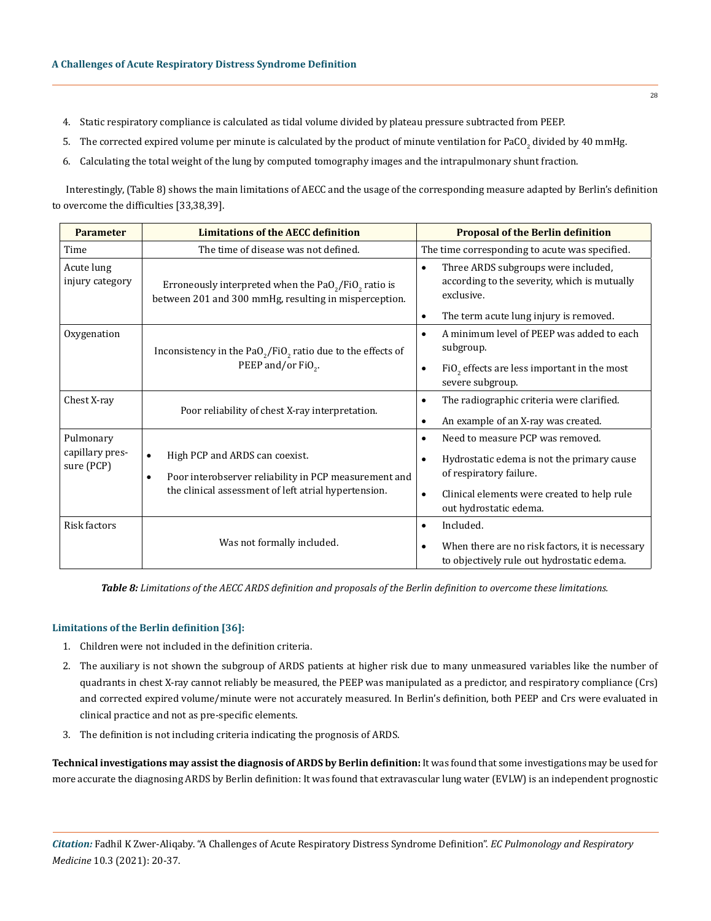- 4. Static respiratory compliance is calculated as tidal volume divided by plateau pressure subtracted from PEEP.
- 5. The corrected expired volume per minute is calculated by the product of minute ventilation for PaCO<sub>2</sub> divided by 40 mmHg.
- 6. Calculating the total weight of the lung by computed tomography images and the intrapulmonary shunt fraction.

Interestingly, (Table 8) shows the main limitations of AECC and the usage of the corresponding measure adapted by Berlin's definition to overcome the difficulties [33,38,39].

| <b>Parameter</b>                                                            | <b>Limitations of the AECC definition</b>                                                                                  | <b>Proposal of the Berlin definition</b>                                                                       |  |
|-----------------------------------------------------------------------------|----------------------------------------------------------------------------------------------------------------------------|----------------------------------------------------------------------------------------------------------------|--|
| Time                                                                        | The time of disease was not defined.                                                                                       | The time corresponding to acute was specified.                                                                 |  |
| Acute lung<br>injury category                                               | Erroneously interpreted when the $PaO2/FiO2$ ratio is<br>between 201 and 300 mmHg, resulting in misperception.             | Three ARDS subgroups were included,<br>$\bullet$<br>according to the severity, which is mutually<br>exclusive. |  |
|                                                                             |                                                                                                                            | The term acute lung injury is removed.<br>$\bullet$                                                            |  |
| Oxygenation<br>Inconsistency in the $PaO2/FiO2$ ratio due to the effects of |                                                                                                                            | A minimum level of PEEP was added to each<br>$\bullet$<br>subgroup.                                            |  |
|                                                                             | PEEP and/or FiO <sub>2</sub> .                                                                                             | $FiO$ , effects are less important in the most<br>$\bullet$<br>severe subgroup.                                |  |
| Chest X-ray                                                                 |                                                                                                                            | The radiographic criteria were clarified.<br>$\bullet$                                                         |  |
|                                                                             | Poor reliability of chest X-ray interpretation.                                                                            | An example of an X-ray was created.<br>٠                                                                       |  |
| Pulmonary                                                                   |                                                                                                                            | Need to measure PCP was removed.<br>$\bullet$                                                                  |  |
| capillary pres-                                                             | High PCP and ARDS can coexist.<br>$\bullet$                                                                                | Hydrostatic edema is not the primary cause<br>$\bullet$                                                        |  |
| sure (PCP)                                                                  | Poor interobserver reliability in PCP measurement and<br>$\bullet$<br>the clinical assessment of left atrial hypertension. | of respiratory failure.                                                                                        |  |
|                                                                             |                                                                                                                            | Clinical elements were created to help rule<br>$\bullet$                                                       |  |
|                                                                             |                                                                                                                            | out hydrostatic edema.                                                                                         |  |
| Risk factors                                                                |                                                                                                                            | Included.<br>$\bullet$                                                                                         |  |
|                                                                             | Was not formally included.                                                                                                 | When there are no risk factors, it is necessary<br>$\bullet$                                                   |  |
|                                                                             |                                                                                                                            | to objectively rule out hydrostatic edema.                                                                     |  |

*Table 8: Limitations of the AECC ARDS definition and proposals of the Berlin definition to overcome these limitations.*

#### **Limitations of the Berlin definition [36]:**

- 1. Children were not included in the definition criteria.
- 2. The auxiliary is not shown the subgroup of ARDS patients at higher risk due to many unmeasured variables like the number of quadrants in chest X-ray cannot reliably be measured, the PEEP was manipulated as a predictor, and respiratory compliance (Crs) and corrected expired volume/minute were not accurately measured. In Berlin's definition, both PEEP and Crs were evaluated in clinical practice and not as pre-specific elements.
- 3. The definition is not including criteria indicating the prognosis of ARDS.

**Technical investigations may assist the diagnosis of ARDS by Berlin definition:** It was found that some investigations may be used for more accurate the diagnosing ARDS by Berlin definition: It was found that extravascular lung water (EVLW) is an independent prognostic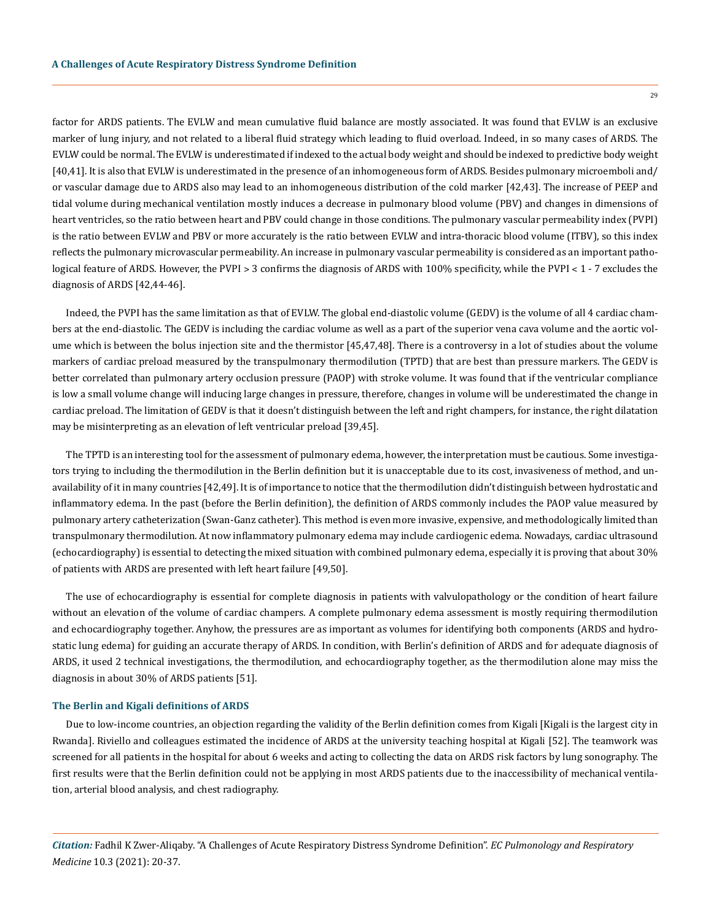factor for ARDS patients. The EVLW and mean cumulative fluid balance are mostly associated. It was found that EVLW is an exclusive marker of lung injury, and not related to a liberal fluid strategy which leading to fluid overload. Indeed, in so many cases of ARDS. The EVLW could be normal. The EVLW is underestimated if indexed to the actual body weight and should be indexed to predictive body weight [40,41]. It is also that EVLW is underestimated in the presence of an inhomogeneous form of ARDS. Besides pulmonary microemboli and/ or vascular damage due to ARDS also may lead to an inhomogeneous distribution of the cold marker [42,43]. The increase of PEEP and tidal volume during mechanical ventilation mostly induces a decrease in pulmonary blood volume (PBV) and changes in dimensions of heart ventricles, so the ratio between heart and PBV could change in those conditions. The pulmonary vascular permeability index (PVPI) is the ratio between EVLW and PBV or more accurately is the ratio between EVLW and intra-thoracic blood volume (ITBV), so this index reflects the pulmonary microvascular permeability. An increase in pulmonary vascular permeability is considered as an important pathological feature of ARDS. However, the PVPI > 3 confirms the diagnosis of ARDS with 100% specificity, while the PVPI < 1 - 7 excludes the diagnosis of ARDS [42,44-46].

Indeed, the PVPI has the same limitation as that of EVLW. The global end-diastolic volume (GEDV) is the volume of all 4 cardiac chambers at the end-diastolic. The GEDV is including the cardiac volume as well as a part of the superior vena cava volume and the aortic volume which is between the bolus injection site and the thermistor [45,47,48]. There is a controversy in a lot of studies about the volume markers of cardiac preload measured by the transpulmonary thermodilution (TPTD) that are best than pressure markers. The GEDV is better correlated than pulmonary artery occlusion pressure (PAOP) with stroke volume. It was found that if the ventricular compliance is low a small volume change will inducing large changes in pressure, therefore, changes in volume will be underestimated the change in cardiac preload. The limitation of GEDV is that it doesn't distinguish between the left and right champers, for instance, the right dilatation may be misinterpreting as an elevation of left ventricular preload [39,45].

The TPTD is an interesting tool for the assessment of pulmonary edema, however, the interpretation must be cautious. Some investigators trying to including the thermodilution in the Berlin definition but it is unacceptable due to its cost, invasiveness of method, and unavailability of it in many countries [42,49]. It is of importance to notice that the thermodilution didn't distinguish between hydrostatic and inflammatory edema. In the past (before the Berlin definition), the definition of ARDS commonly includes the PAOP value measured by pulmonary artery catheterization (Swan-Ganz catheter). This method is even more invasive, expensive, and methodologically limited than transpulmonary thermodilution. At now inflammatory pulmonary edema may include cardiogenic edema. Nowadays, cardiac ultrasound (echocardiography) is essential to detecting the mixed situation with combined pulmonary edema, especially it is proving that about 30% of patients with ARDS are presented with left heart failure [49,50].

The use of echocardiography is essential for complete diagnosis in patients with valvulopathology or the condition of heart failure without an elevation of the volume of cardiac champers. A complete pulmonary edema assessment is mostly requiring thermodilution and echocardiography together. Anyhow, the pressures are as important as volumes for identifying both components (ARDS and hydrostatic lung edema) for guiding an accurate therapy of ARDS. In condition, with Berlin's definition of ARDS and for adequate diagnosis of ARDS, it used 2 technical investigations, the thermodilution, and echocardiography together, as the thermodilution alone may miss the diagnosis in about 30% of ARDS patients [51].

#### **The Berlin and Kigali definitions of ARDS**

Due to low-income countries, an objection regarding the validity of the Berlin definition comes from Kigali [Kigali is the largest city in Rwanda]. Riviello and colleagues estimated the incidence of ARDS at the university teaching hospital at Kigali [52]. The teamwork was screened for all patients in the hospital for about 6 weeks and acting to collecting the data on ARDS risk factors by lung sonography. The first results were that the Berlin definition could not be applying in most ARDS patients due to the inaccessibility of mechanical ventilation, arterial blood analysis, and chest radiography.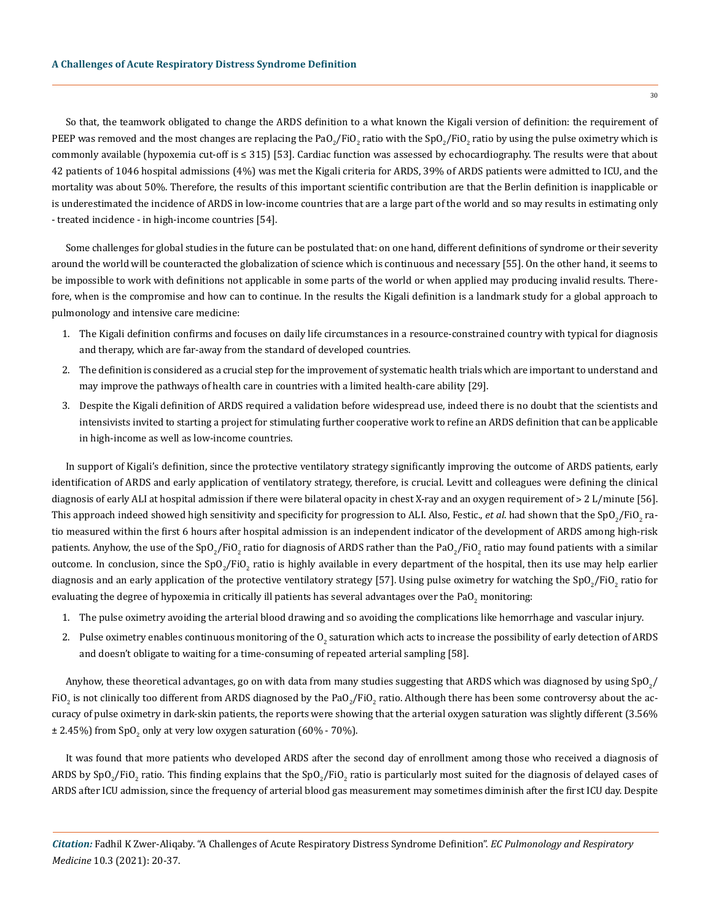So that, the teamwork obligated to change the ARDS definition to a what known the Kigali version of definition: the requirement of PEEP was removed and the most changes are replacing the PaO<sub>2</sub>/FiO<sub>2</sub> ratio with the SpO<sub>2</sub>/FiO<sub>2</sub> ratio by using the pulse oximetry which is commonly available (hypoxemia cut-off is ≤ 315) [53]. Cardiac function was assessed by echocardiography. The results were that about 42 patients of 1046 hospital admissions (4%) was met the Kigali criteria for ARDS, 39% of ARDS patients were admitted to ICU, and the mortality was about 50%. Therefore, the results of this important scientific contribution are that the Berlin definition is inapplicable or is underestimated the incidence of ARDS in low-income countries that are a large part of the world and so may results in estimating only - treated incidence - in high-income countries [54].

Some challenges for global studies in the future can be postulated that: on one hand, different definitions of syndrome or their severity around the world will be counteracted the globalization of science which is continuous and necessary [55]. On the other hand, it seems to be impossible to work with definitions not applicable in some parts of the world or when applied may producing invalid results. Therefore, when is the compromise and how can to continue. In the results the Kigali definition is a landmark study for a global approach to pulmonology and intensive care medicine:

- 1. The Kigali definition confirms and focuses on daily life circumstances in a resource-constrained country with typical for diagnosis and therapy, which are far-away from the standard of developed countries.
- 2. The definition is considered as a crucial step for the improvement of systematic health trials which are important to understand and may improve the pathways of health care in countries with a limited health-care ability [29].
- 3. Despite the Kigali definition of ARDS required a validation before widespread use, indeed there is no doubt that the scientists and intensivists invited to starting a project for stimulating further cooperative work to refine an ARDS definition that can be applicable in high-income as well as low-income countries.

In support of Kigali's definition, since the protective ventilatory strategy significantly improving the outcome of ARDS patients, early identification of ARDS and early application of ventilatory strategy, therefore, is crucial. Levitt and colleagues were defining the clinical diagnosis of early ALI at hospital admission if there were bilateral opacity in chest X-ray and an oxygen requirement of > 2 L/minute [56]. This approach indeed showed high sensitivity and specificity for progression to ALI. Also, Festic., *et al*. had shown that the SpO<sub>2</sub>/FiO<sub>2</sub> ratio measured within the first 6 hours after hospital admission is an independent indicator of the development of ARDS among high-risk patients. Anyhow, the use of the SpO<sub>2</sub>/FiO<sub>2</sub> ratio for diagnosis of ARDS rather than the PaO<sub>2</sub>/FiO<sub>2</sub> ratio may found patients with a similar outcome. In conclusion, since the SpO<sub>2</sub>/FiO<sub>2</sub> ratio is highly available in every department of the hospital, then its use may help earlier diagnosis and an early application of the protective ventilatory strategy [57]. Using pulse oximetry for watching the SpO<sub>2</sub>/FiO<sub>2</sub> ratio for evaluating the degree of hypoxemia in critically ill patients has several advantages over the PaO<sub>2</sub> monitoring:

- 1. The pulse oximetry avoiding the arterial blood drawing and so avoiding the complications like hemorrhage and vascular injury.
- 2. Pulse oximetry enables continuous monitoring of the O<sub>2</sub> saturation which acts to increase the possibility of early detection of ARDS and doesn't obligate to waiting for a time-consuming of repeated arterial sampling [58].

Anyhow, these theoretical advantages, go on with data from many studies suggesting that ARDS which was diagnosed by using SpO $_2\!/$ FiO<sub>2</sub> is not clinically too different from ARDS diagnosed by the PaO<sub>2</sub>/FiO<sub>2</sub> ratio. Although there has been some controversy about the accuracy of pulse oximetry in dark-skin patients, the reports were showing that the arterial oxygen saturation was slightly different (3.56%  $\pm$  2.45%) from SpO<sub>2</sub> only at very low oxygen saturation (60% - 70%).

It was found that more patients who developed ARDS after the second day of enrollment among those who received a diagnosis of ARDS by SpO<sub>2</sub>/FiO<sub>2</sub> ratio. This finding explains that the SpO<sub>2</sub>/FiO<sub>2</sub> ratio is particularly most suited for the diagnosis of delayed cases of ARDS after ICU admission, since the frequency of arterial blood gas measurement may sometimes diminish after the first ICU day. Despite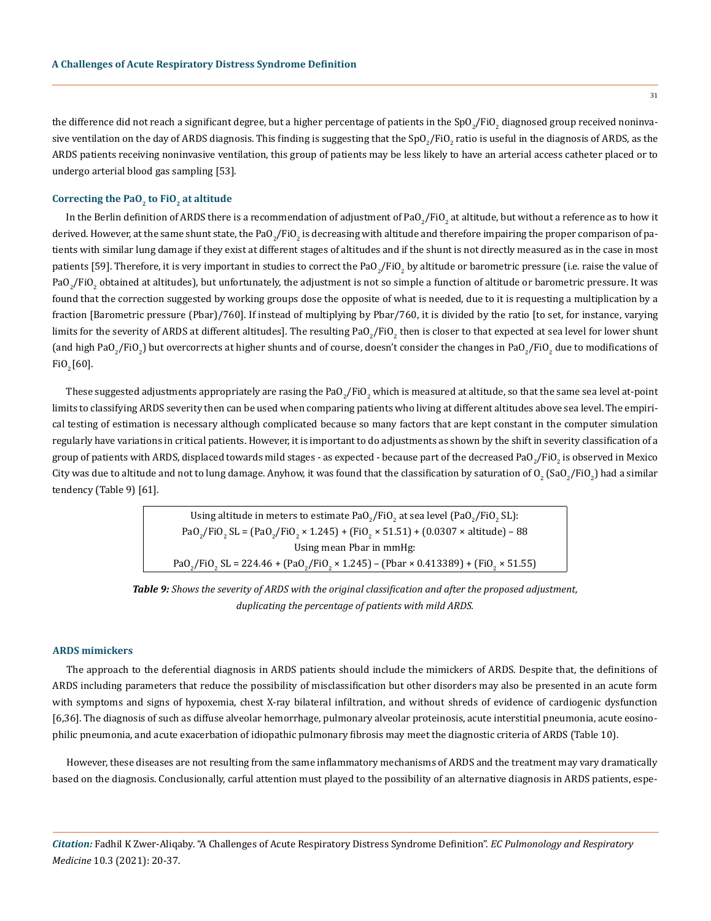the difference did not reach a significant degree, but a higher percentage of patients in the SpO $_2$ /FiO $_2$  diagnosed group received noninvasive ventilation on the day of ARDS diagnosis. This finding is suggesting that the SpO $_2$ /FiO $_2$  ratio is useful in the diagnosis of ARDS, as the ARDS patients receiving noninvasive ventilation, this group of patients may be less likely to have an arterial access catheter placed or to undergo arterial blood gas sampling [53].

#### **Correcting the PaO<sub>2</sub> to FiO<sub>2</sub> at altitude**

In the Berlin definition of ARDS there is a recommendation of adjustment of PaO $_2$ /FiO $_2$  at altitude, but without a reference as to how it derived. However, at the same shunt state, the PaO $_2$ /FiO $_2$  is decreasing with altitude and therefore impairing the proper comparison of patients with similar lung damage if they exist at different stages of altitudes and if the shunt is not directly measured as in the case in most patients [59]. Therefore, it is very important in studies to correct the PaO<sub>2</sub>/FiO<sub>2</sub> by altitude or barometric pressure (i.e. raise the value of PaO $_2$ /FiO $_2$  obtained at altitudes), but unfortunately, the adjustment is not so simple a function of altitude or barometric pressure. It was found that the correction suggested by working groups dose the opposite of what is needed, due to it is requesting a multiplication by a fraction [Barometric pressure (Pbar)/760]. If instead of multiplying by Pbar/760, it is divided by the ratio [to set, for instance, varying limits for the severity of ARDS at different altitudes]. The resulting PaO<sub>2</sub>/FiO<sub>2</sub> then is closer to that expected at sea level for lower shunt (and high PaO<sub>2</sub>/FiO<sub>2</sub>) but overcorrects at higher shunts and of course, doesn't consider the changes in PaO<sub>2</sub>/FiO<sub>2</sub> due to modifications of  $FiO<sub>2</sub> [60]$ .

These suggested adjustments appropriately are rasing the PaO $_2$ /FiO $_2$  which is measured at altitude, so that the same sea level at-point limits to classifying ARDS severity then can be used when comparing patients who living at different altitudes above sea level. The empirical testing of estimation is necessary although complicated because so many factors that are kept constant in the computer simulation regularly have variations in critical patients. However, it is important to do adjustments as shown by the shift in severity classification of a group of patients with ARDS, displaced towards mild stages - as expected - because part of the decreased PaO $_2$ /FiO $_2$  is observed in Mexico City was due to altitude and not to lung damage. Anyhow, it was found that the classification by saturation of  $0_2$  (Sa $0_2$ /Fi $0_2$ ) had a similar tendency (Table 9) [61].

> Using altitude in meters to estimate PaO $_2$ /FiO $_2$  at sea level (PaO $_2$ /FiO $_2$  SL): PaO<sub>2</sub>/FiO<sub>2</sub> SL = (PaO<sub>2</sub>/FiO<sub>2</sub> × 1.245) + (FiO<sub>2</sub> × 51.51) + (0.0307 × altitude) – 88 Using mean Pbar in mmHg:  $PaO_2/FiO_2$  SL = 224.46 + (PaO<sub>2</sub>/FiO<sub>2</sub> × 1.245) – (Pbar × 0.413389) + (FiO<sub>2</sub> × 51.55)

*Table 9: Shows the severity of ARDS with the original classification and after the proposed adjustment, duplicating the percentage of patients with mild ARDS.*

#### **ARDS mimickers**

The approach to the deferential diagnosis in ARDS patients should include the mimickers of ARDS. Despite that, the definitions of ARDS including parameters that reduce the possibility of misclassification but other disorders may also be presented in an acute form with symptoms and signs of hypoxemia, chest X-ray bilateral infiltration, and without shreds of evidence of cardiogenic dysfunction [6,36]. The diagnosis of such as diffuse alveolar hemorrhage, pulmonary alveolar proteinosis, acute interstitial pneumonia, acute eosinophilic pneumonia, and acute exacerbation of idiopathic pulmonary fibrosis may meet the diagnostic criteria of ARDS (Table 10).

However, these diseases are not resulting from the same inflammatory mechanisms of ARDS and the treatment may vary dramatically based on the diagnosis. Conclusionally, carful attention must played to the possibility of an alternative diagnosis in ARDS patients, espe-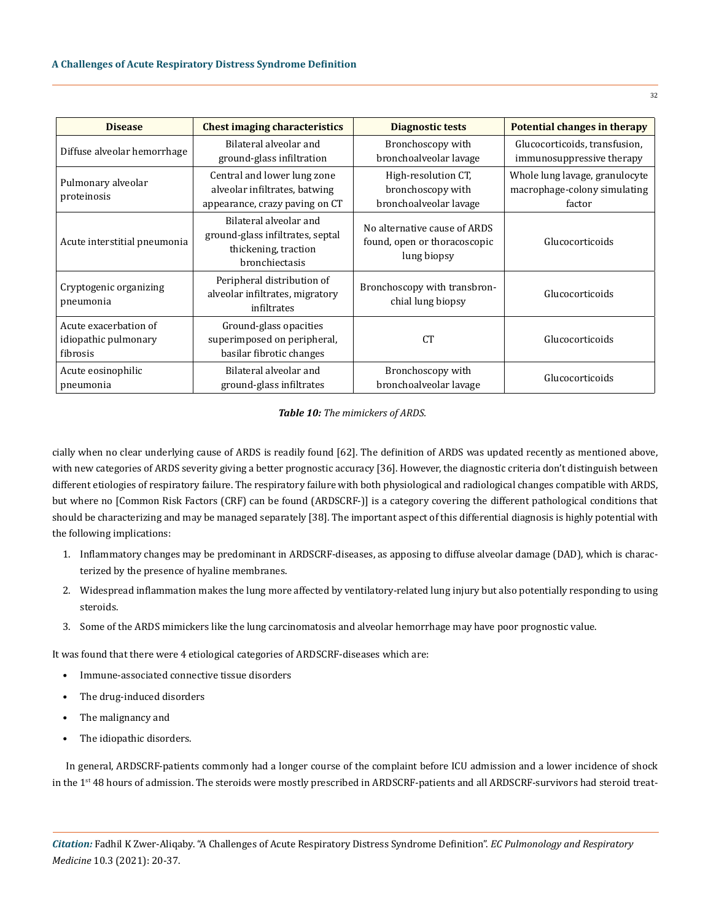| <b>Disease</b>                                            | <b>Chest imaging characteristics</b>                                                                 | <b>Diagnostic tests</b>                                                     | Potential changes in therapy                                             |
|-----------------------------------------------------------|------------------------------------------------------------------------------------------------------|-----------------------------------------------------------------------------|--------------------------------------------------------------------------|
| Diffuse alveolar hemorrhage                               | Bilateral alveolar and<br>ground-glass infiltration                                                  | Bronchoscopy with<br>bronchoalveolar lavage                                 | Glucocorticoids, transfusion,<br>immunosuppressive therapy               |
| Pulmonary alveolar<br>proteinosis                         | Central and lower lung zone<br>alveolar infiltrates, batwing<br>appearance, crazy paving on CT       | High-resolution CT,<br>bronchoscopy with<br>bronchoalveolar lavage          | Whole lung lavage, granulocyte<br>macrophage-colony simulating<br>factor |
| Acute interstitial pneumonia                              | Bilateral alveolar and<br>ground-glass infiltrates, septal<br>thickening, traction<br>bronchiectasis | No alternative cause of ARDS<br>found, open or thoracoscopic<br>lung biopsy | Glucocorticoids                                                          |
| Cryptogenic organizing<br>pneumonia                       | Peripheral distribution of<br>alveolar infiltrates, migratory<br>infiltrates                         | Bronchoscopy with transbron-<br>chial lung biopsy                           | Glucocorticoids                                                          |
| Acute exacerbation of<br>idiopathic pulmonary<br>fibrosis | Ground-glass opacities<br>superimposed on peripheral,<br>basilar fibrotic changes                    | CT <sup>1</sup>                                                             | Glucocorticoids                                                          |
| Acute eosinophilic<br>pneumonia                           | Bilateral alveolar and<br>ground-glass infiltrates                                                   | Bronchoscopy with<br>bronchoalveolar lavage                                 | Glucocorticoids                                                          |

#### *Table 10: The mimickers of ARDS.*

cially when no clear underlying cause of ARDS is readily found [62]. The definition of ARDS was updated recently as mentioned above, with new categories of ARDS severity giving a better prognostic accuracy [36]. However, the diagnostic criteria don't distinguish between different etiologies of respiratory failure. The respiratory failure with both physiological and radiological changes compatible with ARDS, but where no [Common Risk Factors (CRF) can be found (ARDSCRF-)] is a category covering the different pathological conditions that should be characterizing and may be managed separately [38]. The important aspect of this differential diagnosis is highly potential with the following implications:

- 1. Inflammatory changes may be predominant in ARDSCRF-diseases, as apposing to diffuse alveolar damage (DAD), which is characterized by the presence of hyaline membranes.
- 2. Widespread inflammation makes the lung more affected by ventilatory-related lung injury but also potentially responding to using steroids.
- 3. Some of the ARDS mimickers like the lung carcinomatosis and alveolar hemorrhage may have poor prognostic value.

It was found that there were 4 etiological categories of ARDSCRF-diseases which are:

- Immune-associated connective tissue disorders
- The drug-induced disorders
- The malignancy and
- The idiopathic disorders.

In general, ARDSCRF-patients commonly had a longer course of the complaint before ICU admission and a lower incidence of shock in the 1<sup>st</sup> 48 hours of admission. The steroids were mostly prescribed in ARDSCRF-patients and all ARDSCRF-survivors had steroid treat-

32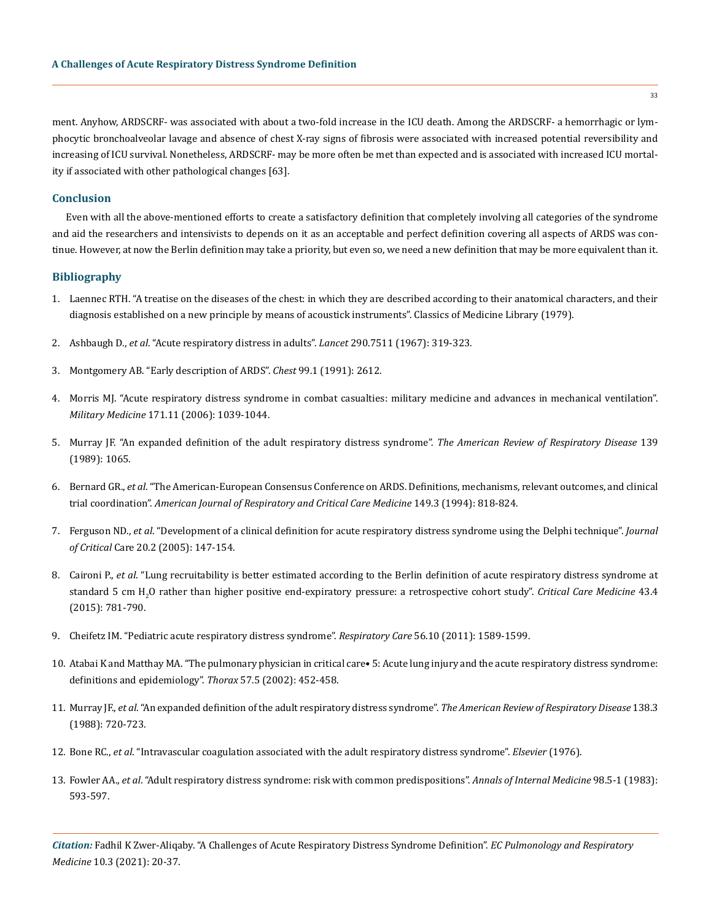ment. Anyhow, ARDSCRF- was associated with about a two-fold increase in the ICU death. Among the ARDSCRF- a hemorrhagic or lymphocytic bronchoalveolar lavage and absence of chest X-ray signs of fibrosis were associated with increased potential reversibility and increasing of ICU survival. Nonetheless, ARDSCRF- may be more often be met than expected and is associated with increased ICU mortality if associated with other pathological changes [63].

#### **Conclusion**

Even with all the above-mentioned efforts to create a satisfactory definition that completely involving all categories of the syndrome and aid the researchers and intensivists to depends on it as an acceptable and perfect definition covering all aspects of ARDS was continue. However, at now the Berlin definition may take a priority, but even so, we need a new definition that may be more equivalent than it.

#### **Bibliography**

- 1. [Laennec RTH. "A treatise on the diseases of the chest: in which they are described according to their anatomical characters, and their](https://collections.nlm.nih.gov/catalog/nlm:nlmuid-65340230R-bk)  [diagnosis established on a new principle by means of acoustick instruments". Classics of Medicine Library \(1979\).](https://collections.nlm.nih.gov/catalog/nlm:nlmuid-65340230R-bk)
- 2. Ashbaugh D., *et al*[. "Acute respiratory distress in adults".](https://pubmed.ncbi.nlm.nih.gov/4143721/) *Lancet* 290.7511 (1967): 319-323.
- 3. [Montgomery AB. "Early description of ARDS".](https://pubmed.ncbi.nlm.nih.gov/1984975/) *Chest* 99.1 (1991): 2612.
- 4. [Morris MJ. "Acute respiratory distress syndrome in combat casualties: military medicine and advances in mechanical ventilation".](https://pubmed.ncbi.nlm.nih.gov/17153538/)  *Military Medicine* [171.11 \(2006\): 1039-1044.](https://pubmed.ncbi.nlm.nih.gov/17153538/)
- 5. [Murray JF. "An expanded definition of the adult respiratory distress syndrome".](https://pubmed.ncbi.nlm.nih.gov/3202424/) *The American Review of Respiratory Disease* 139 [\(1989\): 1065.](https://pubmed.ncbi.nlm.nih.gov/3202424/)
- 6. Bernard GR., *et al*[. "The American-European Consensus Conference on ARDS. Definitions, mechanisms, relevant outcomes, and clinical](https://pubmed.ncbi.nlm.nih.gov/7509706/)  trial coordination". *[American Journal of Respiratory and Critical Care Medicine](https://pubmed.ncbi.nlm.nih.gov/7509706/)* 149.3 (1994): 818-824.
- 7. Ferguson ND., *et al*[. "Development of a clinical definition for acute respiratory distress syndrome using the Delphi technique".](https://pubmed.ncbi.nlm.nih.gov/16139155/) *Journal of Critical* [Care 20.2 \(2005\): 147-154.](https://pubmed.ncbi.nlm.nih.gov/16139155/)
- 8. Caironi P., *et al*[. "Lung recruitability is better estimated according to the Berlin definition of acute respiratory distress syndrome at](https://journals.lww.com/ccmjournal/Abstract/2015/04000/Lung_Recruitability_Is_Better_Estimated_According.8.aspx) standard 5 cm H<sub>2</sub>[O rather than higher positive end-expiratory pressure: a retrospective cohort study".](https://journals.lww.com/ccmjournal/Abstract/2015/04000/Lung_Recruitability_Is_Better_Estimated_According.8.aspx) *Critical Care Medicine* 43.4 [\(2015\): 781-790.](https://journals.lww.com/ccmjournal/Abstract/2015/04000/Lung_Recruitability_Is_Better_Estimated_According.8.aspx)
- 9. [Cheifetz IM. "Pediatric acute respiratory distress syndrome".](https://pubmed.ncbi.nlm.nih.gov/22008400/) *Respiratory Care* 56.10 (2011): 1589-1599.
- 10. [Atabai K and Matthay MA. "The pulmonary physician in critical care• 5: Acute lung injury and the acute respiratory distress syndrome:](https://pubmed.ncbi.nlm.nih.gov/11978926/)  [definitions and epidemiology".](https://pubmed.ncbi.nlm.nih.gov/11978926/) *Thorax* 57.5 (2002): 452-458.
- 11. Murray JF., *et al*[. "An expanded definition of the adult respiratory distress syndrome".](https://pubmed.ncbi.nlm.nih.gov/3202424/) *The American Review of Respiratory Disease* 138.3 [\(1988\): 720-723.](https://pubmed.ncbi.nlm.nih.gov/3202424/)
- 12. Bone RC., *et al*[. "Intravascular coagulation associated with the adult respiratory distress syndrome".](https://www.amjmed.com/article/0002-9343(76)90135-2/fulltext) *Elsevier* (1976).
- 13. Fowler AA., *et al*[. "Adult respiratory distress syndrome: risk with common predispositions".](https://pubmed.ncbi.nlm.nih.gov/6846973/) *Annals of Internal Medicine* 98.5-1 (1983): [593-597.](https://pubmed.ncbi.nlm.nih.gov/6846973/)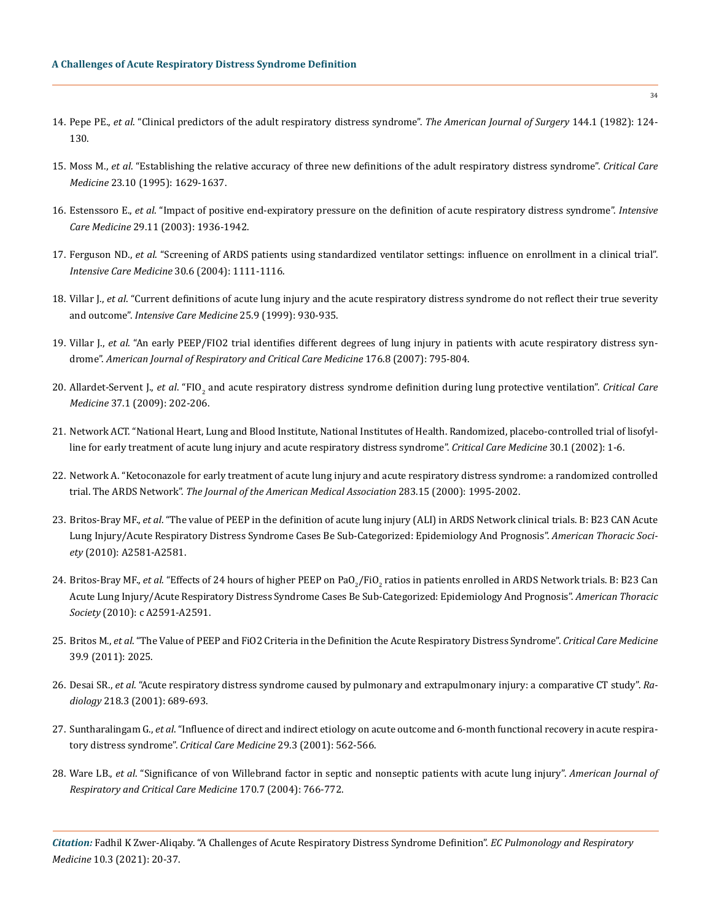- 14. Pepe PE., *et al*[. "Clinical predictors of the adult respiratory distress syndrome".](https://pubmed.ncbi.nlm.nih.gov/7091520/) *The American Journal of Surgery* 144.1 (1982): 124- [130.](https://pubmed.ncbi.nlm.nih.gov/7091520/)
- 15. Moss M., *et al*[. "Establishing the relative accuracy of three new definitions of the adult respiratory distress syndrome".](https://pubmed.ncbi.nlm.nih.gov/7587227/) *Critical Care Medicine* [23.10 \(1995\): 1629-1637.](https://pubmed.ncbi.nlm.nih.gov/7587227/)
- 16. Estenssoro E., *et al*[. "Impact of positive end-expiratory pressure on the definition of acute respiratory distress syndrome".](https://pubmed.ncbi.nlm.nih.gov/12955187/) *Intensive Care Medicine* [29.11 \(2003\): 1936-1942.](https://pubmed.ncbi.nlm.nih.gov/12955187/)
- 17. Ferguson ND., *et al*[. "Screening of ARDS patients using standardized ventilator settings: influence on enrollment in a clinical trial".](https://www.researchgate.net/publication/7437780_Screening_of_ARDS_patients_using_standardized_ventilator_settings_Influence_on_enrollment_in_a_clinical_trial)  *[Intensive Care Medicine](https://www.researchgate.net/publication/7437780_Screening_of_ARDS_patients_using_standardized_ventilator_settings_Influence_on_enrollment_in_a_clinical_trial)* 30.6 (2004): 1111-1116.
- 18. Villar J., *et al*[. "Current definitions of acute lung injury and the acute respiratory distress syndrome do not reflect their true severity](https://pubmed.ncbi.nlm.nih.gov/10501747/)  and outcome". *[Intensive Care Medicine](https://pubmed.ncbi.nlm.nih.gov/10501747/)* 25.9 (1999): 930-935.
- 19. Villar J., *et al*[. "An early PEEP/FIO2 trial identifies different degrees of lung injury in patients with acute respiratory distress syn](https://pubmed.ncbi.nlm.nih.gov/17585106/)drome". *[American Journal of Respiratory and Critical Care Medicine](https://pubmed.ncbi.nlm.nih.gov/17585106/)* 176.8 (2007): 795-804.
- 20. Allardet-Servent J., *et al*. "FIO<sub>2</sub> [and acute respiratory distress syndrome definition during lung protective ventilation".](https://pubmed.ncbi.nlm.nih.gov/19050631/) *Critical Care Medicine* [37.1 \(2009\): 202-206.](https://pubmed.ncbi.nlm.nih.gov/19050631/)
- 21. [Network ACT. "National Heart, Lung and Blood Institute, National Institutes of Health. Randomized, placebo-controlled trial of lisofyl](https://pubmed.ncbi.nlm.nih.gov/11902249/)[line for early treatment of acute lung injury and acute respiratory distress syndrome".](https://pubmed.ncbi.nlm.nih.gov/11902249/) *Critical Care Medicine* 30.1 (2002): 1-6.
- 22. [Network A. "Ketoconazole for early treatment of acute lung injury and acute respiratory distress syndrome: a randomized controlled](https://jamanetwork.com/journals/jama/fullarticle/192592)  trial. The ARDS Network". *[The Journal of the American Medical Association](https://jamanetwork.com/journals/jama/fullarticle/192592)* 283.15 (2000): 1995-2002.
- 23. Britos-Bray MF., *et al*[. "The value of PEEP in the definition of acute lung injury \(ALI\) in ARDS Network clinical trials. В: B23 CAN Acute](https://www.atsjournals.org/doi/abs/10.1164/ajrccm-conference.2010.181.1_MeetingAbstracts.A2581)  [Lung Injury/Acute Respiratory Distress Syndrome Cases Be Sub-Categorized: Epidemiology And Prognosis".](https://www.atsjournals.org/doi/abs/10.1164/ajrccm-conference.2010.181.1_MeetingAbstracts.A2581) *American Thoracic Society* [\(2010\): A2581-A2581.](https://www.atsjournals.org/doi/abs/10.1164/ajrccm-conference.2010.181.1_MeetingAbstracts.A2581)
- 24. Britos-Bray MF., *et al*. "Effects of 24 hours of higher PEEP on PaO<sub>2</sub>/FiO<sub>2</sub> ratios in patients enrolled in ARDS Network trials. B: B23 Can [Acute Lung Injury/Acute Respiratory Distress Syndrome Cases Be Sub-Categorized: Epidemiology And Prognosis".](https://www.atsjournals.org/doi/abs/10.1164/ajrccm-conference.2010.181.1_MeetingAbstracts.A2591) *American Thoracic Society* [\(2010\): с A2591-A2591.](https://www.atsjournals.org/doi/abs/10.1164/ajrccm-conference.2010.181.1_MeetingAbstracts.A2591)
- 25. Britos M., *et al*[. "The Value of PEEP and FiO2 Criteria in the Definition the Acute Respiratory Distress Syndrome".](https://www.ncbi.nlm.nih.gov/pmc/articles/PMC3157575/) *Critical Care Medicine*  [39.9 \(2011\): 2025.](https://www.ncbi.nlm.nih.gov/pmc/articles/PMC3157575/)
- 26. Desai SR., *et al*[. "Acute respiratory distress syndrome caused by pulmonary and extrapulmonary injury: a comparative CT study".](https://pubmed.ncbi.nlm.nih.gov/11230641/) *Radiology* [218.3 \(2001\): 689-693.](https://pubmed.ncbi.nlm.nih.gov/11230641/)
- 27. Suntharalingam G., *et al*[. "Influence of direct and indirect etiology on acute outcome and 6-month functional recovery in acute respira](https://pubmed.ncbi.nlm.nih.gov/11373420/)[tory distress syndrome".](https://pubmed.ncbi.nlm.nih.gov/11373420/) *Critical Care Medicine* 29.3 (2001): 562-566.
- 28. Ware LB., *et al*[. "Significance of von Willebrand factor in septic and nonseptic patients with acute lung injury".](https://pubmed.ncbi.nlm.nih.gov/15201135/) *American Journal of [Respiratory and Critical Care Medicine](https://pubmed.ncbi.nlm.nih.gov/15201135/)* 170.7 (2004): 766-772.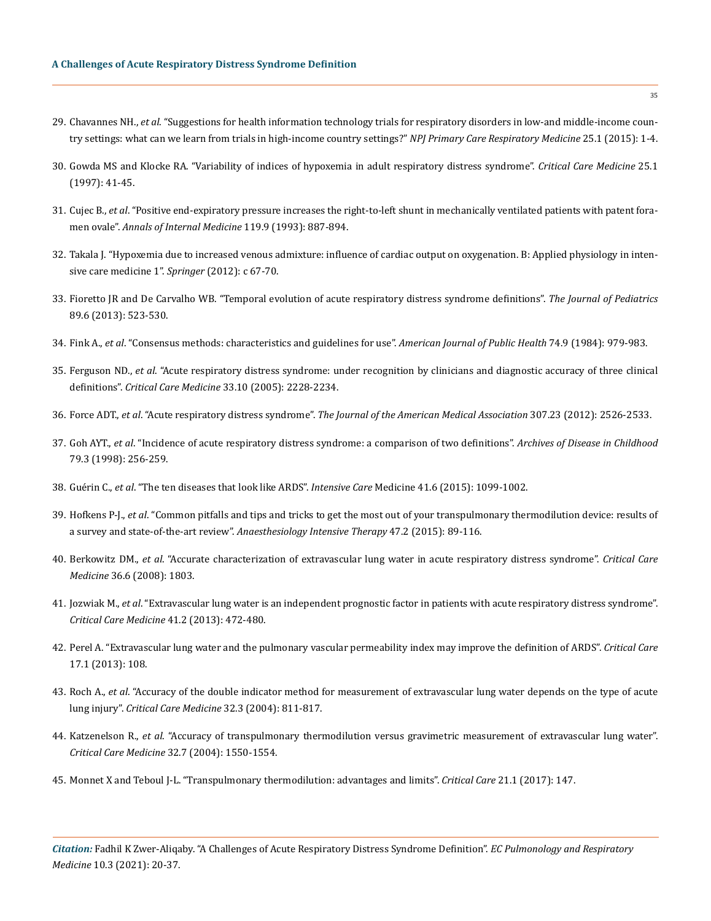- 29. Chavannes NH., *et al*[. "Suggestions for health information technology trials for respiratory disorders in low-and middle-income coun](https://pubmed.ncbi.nlm.nih.gov/26158263/)[try settings: what can we learn from trials in high-income country settings?"](https://pubmed.ncbi.nlm.nih.gov/26158263/) *NPJ Primary Care Respiratory Medicine* 25.1 (2015): 1-4.
- 30. [Gowda MS and Klocke RA. "Variability of indices of hypoxemia in adult respiratory distress syndrome".](https://pubmed.ncbi.nlm.nih.gov/8989174/) *Critical Care Medicine* 25.1 [\(1997\): 41-45.](https://pubmed.ncbi.nlm.nih.gov/8989174/)
- 31. Cujec B., *et al*[. "Positive end-expiratory pressure increases the right-to-left shunt in mechanically ventilated patients with patent fora](https://pubmed.ncbi.nlm.nih.gov/8215000/)men ovale". *[Annals of Internal Medicine](https://pubmed.ncbi.nlm.nih.gov/8215000/)* 119.9 (1993): 887-894.
- 32. [Takala J. "Hypoxemia due to increased venous admixture: influence of cardiac output on oxygenation. В: Applied physiology in inten](https://pubmed.ncbi.nlm.nih.gov/17342520/)[sive care medicine 1".](https://pubmed.ncbi.nlm.nih.gov/17342520/) *Springer* (2012): с 67-70.
- 33. [Fioretto JR and De Carvalho WB. "Temporal evolution of acute respiratory distress syndrome definitions".](https://pubmed.ncbi.nlm.nih.gov/24035871/) *The Journal of Pediatrics* [89.6 \(2013\): 523-530.](https://pubmed.ncbi.nlm.nih.gov/24035871/)
- 34. Fink A., *et al*[. "Consensus methods: characteristics and guidelines for use".](https://pubmed.ncbi.nlm.nih.gov/6380323/) *American Journal of Public Health* 74.9 (1984): 979-983.
- 35. Ferguson ND., *et al*[. "Acute respiratory distress syndrome: under recognition by clinicians and diagnostic accuracy of three clinical](https://pubmed.ncbi.nlm.nih.gov/16215375/)  definitions". *Critical Care Medicine* [33.10 \(2005\): 2228-2234.](https://pubmed.ncbi.nlm.nih.gov/16215375/)
- 36. Force ADT., *et al*. "Acute respiratory distress syndrome". *[The Journal of the American Medical Association](https://www.healthline.com/health/acute-respiratory-distress-syndrome)* 307.23 (2012): 2526-2533.
- 37. Goh AYT., *et al*[. "Incidence of acute respiratory distress syndrome: a comparison of two definitions".](https://pubmed.ncbi.nlm.nih.gov/9875023/) *Archives of Disease in Childhood*  [79.3 \(1998\): 256-259.](https://pubmed.ncbi.nlm.nih.gov/9875023/)
- 38. Guérin C., *et al*[. "The ten diseases that look like ARDS".](https://pubmed.ncbi.nlm.nih.gov/25527375/) *Intensive Care* Medicine 41.6 (2015): 1099-1002.
- 39. Hofkens P-J., *et al*[. "Common pitfalls and tips and tricks to get the most out of your transpulmonary thermodilution device: results of](https://pubmed.ncbi.nlm.nih.gov/25421923/)  a survey and state-of-the-art review". *[Anaesthesiology Intensive Therapy](https://pubmed.ncbi.nlm.nih.gov/25421923/)* 47.2 (2015): 89-116.
- 40. Berkowitz DM., *et al*[. "Accurate characterization of extravascular lung water in acute respiratory distress syndrome".](https://pubmed.ncbi.nlm.nih.gov/18496374/) *Critical Care Medicine* [36.6 \(2008\): 1803.](https://pubmed.ncbi.nlm.nih.gov/18496374/)
- 41. Jozwiak M., *et al*[. "Extravascular lung water is an independent prognostic factor in patients with acute respiratory distress syndrome".](https://pubmed.ncbi.nlm.nih.gov/23263578/)  *[Critical Care Medicine](https://pubmed.ncbi.nlm.nih.gov/23263578/)* 41.2 (2013): 472-480.
- 42. [Perel A. "Extravascular lung water and the pulmonary vascular permeability index may improve the definition of ARDS".](https://pubmed.ncbi.nlm.nih.gov/23347799/) *Critical Care*  [17.1 \(2013\): 108.](https://pubmed.ncbi.nlm.nih.gov/23347799/)
- 43. Roch A., *et al*[. "Accuracy of the double indicator method for measurement of extravascular lung water depends on the type of acute](https://pubmed.ncbi.nlm.nih.gov/15090967/)  lung injury". *[Critical Care Medicine](https://pubmed.ncbi.nlm.nih.gov/15090967/)* 32.3 (2004): 811-817.
- 44. Katzenelson R., *et al*[. "Accuracy of transpulmonary thermodilution versus gravimetric measurement of extravascular lung water".](https://www.researchgate.net/publication/8468323_Accuracy_of_transpulmonary_thermodilution_versus_gravimetric_measurement_of_extravascular_lung_water)  *[Critical Care Medicine](https://www.researchgate.net/publication/8468323_Accuracy_of_transpulmonary_thermodilution_versus_gravimetric_measurement_of_extravascular_lung_water)* 32.7 (2004): 1550-1554.
- 45. [Monnet X and Teboul J-L. "Transpulmonary thermodilution: advantages and limits".](https://ccforum.biomedcentral.com/articles/10.1186/s13054-017-1739-5) *Critical Care* 21.1 (2017): 147.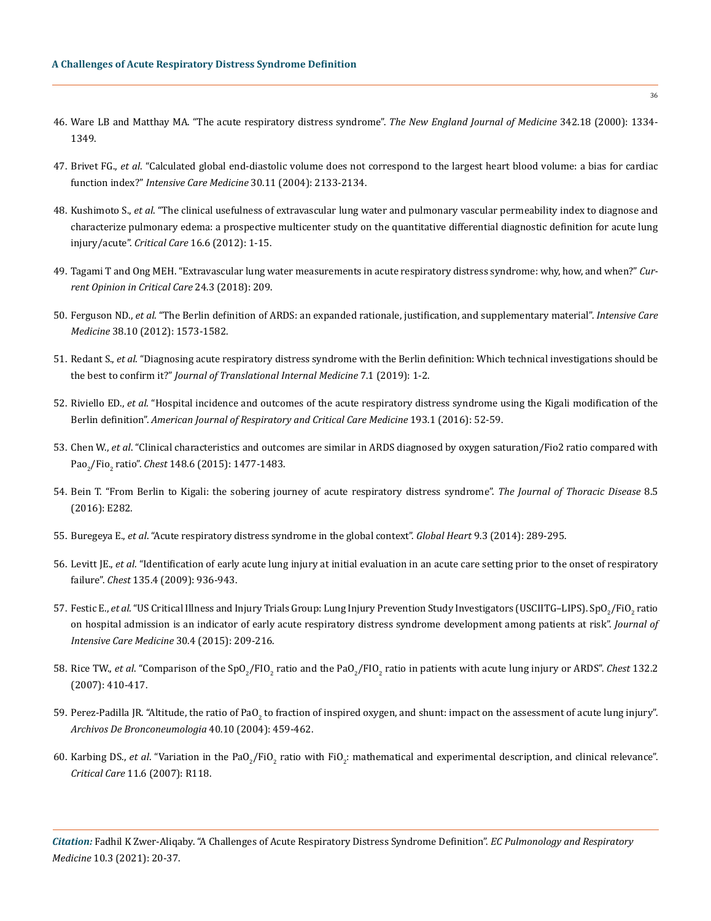- 46. [Ware LB and Matthay MA. "The acute respiratory distress syndrome".](https://pubmed.ncbi.nlm.nih.gov/22850883/) *The New England Journal of Medicine* 342.18 (2000): 1334- [1349.](https://pubmed.ncbi.nlm.nih.gov/22850883/)
- 47. Brivet FG., *et al*[. "Calculated global end-diastolic volume does not correspond to the largest heart blood volume: a bias for cardiac](https://pubmed.ncbi.nlm.nih.gov/15368039/)  function index?" *[Intensive Care Medicine](https://pubmed.ncbi.nlm.nih.gov/15368039/)* 30.11 (2004): 2133-2134.
- 48. Kushimoto S., *et al*[. "The clinical usefulness of extravascular lung water and pulmonary vascular permeability index to diagnose and](https://pubmed.ncbi.nlm.nih.gov/23232188/)  [characterize pulmonary edema: a prospective multicenter study on the quantitative differential diagnostic definition for acute lung](https://pubmed.ncbi.nlm.nih.gov/23232188/)  injury/acute". *Critical Care* [16.6 \(2012\): 1-15.](https://pubmed.ncbi.nlm.nih.gov/23232188/)
- 49. [Tagami T and Ong MEH. "Extravascular lung water measurements in acute respiratory distress syndrome: why, how, and when?"](https://pubmed.ncbi.nlm.nih.gov/29608455/) *Cur[rent Opinion in Critical Care](https://pubmed.ncbi.nlm.nih.gov/29608455/)* 24.3 (2018): 209.
- 50. Ferguson ND., *et al*[. "The Berlin definition of ARDS: an expanded rationale, justification, and supplementary material".](https://pubmed.ncbi.nlm.nih.gov/22926653/) *Intensive Care Medicine* [38.10 \(2012\): 1573-1582.](https://pubmed.ncbi.nlm.nih.gov/22926653/)
- 51. Redant S., *et al*[. "Diagnosing acute respiratory distress syndrome with the Berlin definition: Which technical investigations should be](https://www.ncbi.nlm.nih.gov/pmc/articles/PMC6463827/)  the best to confirm it?" *[Journal of Translational Internal Medicine](https://www.ncbi.nlm.nih.gov/pmc/articles/PMC6463827/)* 7.1 (2019): 1-2.
- 52. Riviello ED., *et al*[. "Hospital incidence and outcomes of the acute respiratory distress syndrome using the Kigali modification of the](https://pubmed.ncbi.nlm.nih.gov/26352116/)  Berlin definition". *[American Journal of Respiratory and Critical Care Medicine](https://pubmed.ncbi.nlm.nih.gov/26352116/)* 193.1 (2016): 52-59.
- 53. Chen W., *et al*[. "Clinical characteristics and outcomes are similar in ARDS diagnosed by oxygen saturation/Fio2 ratio compared with](https://pubmed.ncbi.nlm.nih.gov/26271028/)  Pao<sub>2</sub>/Fio<sub>2</sub> ratio". *Chest* [148.6 \(2015\): 1477-1483.](https://pubmed.ncbi.nlm.nih.gov/26271028/)
- 54. [Bein T. "From Berlin to Kigali: the sobering journey of acute respiratory distress syndrome".](https://jtd.amegroups.com/article/view/7080/html) *The Journal of Thoracic Disease* 8.5 [\(2016\): E282.](https://jtd.amegroups.com/article/view/7080/html)
- 55. Buregeya E., *et al*[. "Acute respiratory distress syndrome in the global context".](https://www.sciencedirect.com/science/article/abs/pii/S2211816014026076) *Global Heart* 9.3 (2014): 289-295.
- 56. Levitt JE., *et al*[. "Identification of early acute lung injury at initial evaluation in an acute care setting prior to the onset of respiratory](https://pubmed.ncbi.nlm.nih.gov/19188549/) failure". *Chest* [135.4 \(2009\): 936-943.](https://pubmed.ncbi.nlm.nih.gov/19188549/)
- 57. Festic E., *et al*[. "US Critical Illness and Injury Trials Group: Lung Injury Prevention Study Investigators \(USCIITG–LIPS\). SpO](https://pubmed.ncbi.nlm.nih.gov/24362445/)<sub>2</sub>/FiO<sub>2</sub> ratio [on hospital admission is an indicator of early acute respiratory distress syndrome development among patients at risk".](https://pubmed.ncbi.nlm.nih.gov/24362445/) *Journal of [Intensive Care Medicine](https://pubmed.ncbi.nlm.nih.gov/24362445/)* 30.4 (2015): 209-216.
- 58. Rice TW., *et al.* "Comparison of the SpO<sub>2</sub>/FIO<sub>2</sub> ratio and the PaO<sub>2</sub>/FIO<sub>2</sub> [ratio in patients with acute lung injury or ARDS".](https://pubmed.ncbi.nlm.nih.gov/17573487/) *Chest* 132.2 [\(2007\): 410-417.](https://pubmed.ncbi.nlm.nih.gov/17573487/)
- 59. Perez-Padilla JR. "Altitude, the ratio of PaO<sub>2</sub> to fraction of inspired oxygen, and shunt: impact on the assessment of acute lung injury". *[Archivos De Bronconeumologia](https://www.archbronconeumol.org/en-altitude-ratio-pao2-fraction-inspired-articulo-S157921290660356X)* 40.10 (2004): 459-462.
- 60. Karbing DS., *et al.* "Variation in the PaO<sub>2</sub>/FiO<sub>2</sub> ratio with FiO<sub>2</sub>: mathematical and experimental description, and clinical relevance". *Critical Care* [11.6 \(2007\): R118.](https://ccforum.biomedcentral.com/articles/10.1186/cc6174)